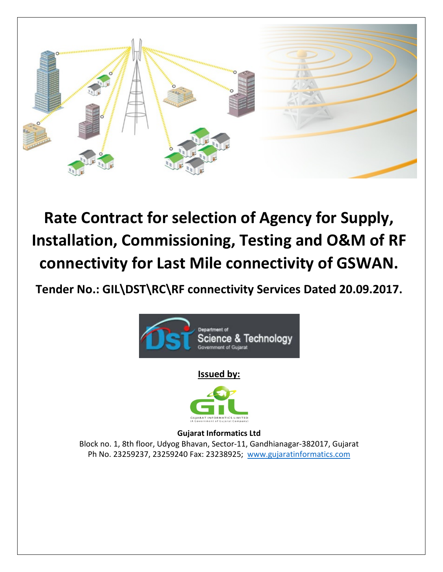

### **Rate Contract for selection of Agency for Supply, Installation, Commissioning, Testing and O&M of RF connectivity for Last Mile connectivity of GSWAN.**

**Tender No.: GIL\DST\RC\RF connectivity Services Dated 20.09.2017.**



**Issued by:**



**Gujarat Informatics Ltd** Block no. 1, 8th floor, Udyog Bhavan, Sector‐11, Gandhianagar‐382017, Gujarat Ph No. 23259237, 23259240 Fax: 23238925; [www.gujaratinformatics.com](http://www.gujaratinformatics.com/)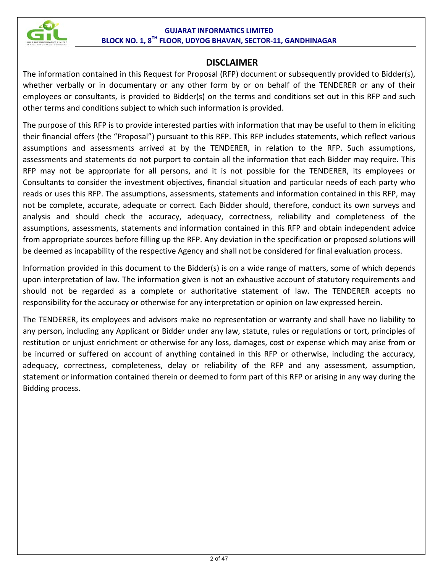

#### **DISCLAIMER**

The information contained in this Request for Proposal (RFP) document or subsequently provided to Bidder(s), whether verbally or in documentary or any other form by or on behalf of the TENDERER or any of their employees or consultants, is provided to Bidder(s) on the terms and conditions set out in this RFP and such other terms and conditions subject to which such information is provided.

The purpose of this RFP is to provide interested parties with information that may be useful to them in eliciting their financial offers (the "Proposal") pursuant to this RFP. This RFP includes statements, which reflect various assumptions and assessments arrived at by the TENDERER, in relation to the RFP. Such assumptions, assessments and statements do not purport to contain all the information that each Bidder may require. This RFP may not be appropriate for all persons, and it is not possible for the TENDERER, its employees or Consultants to consider the investment objectives, financial situation and particular needs of each party who reads or uses this RFP. The assumptions, assessments, statements and information contained in this RFP, may not be complete, accurate, adequate or correct. Each Bidder should, therefore, conduct its own surveys and analysis and should check the accuracy, adequacy, correctness, reliability and completeness of the assumptions, assessments, statements and information contained in this RFP and obtain independent advice from appropriate sources before filling up the RFP. Any deviation in the specification or proposed solutions will be deemed as incapability of the respective Agency and shall not be considered for final evaluation process.

Information provided in this document to the Bidder(s) is on a wide range of matters, some of which depends upon interpretation of law. The information given is not an exhaustive account of statutory requirements and should not be regarded as a complete or authoritative statement of law. The TENDERER accepts no responsibility for the accuracy or otherwise for any interpretation or opinion on law expressed herein.

The TENDERER, its employees and advisors make no representation or warranty and shall have no liability to any person, including any Applicant or Bidder under any law, statute, rules or regulations or tort, principles of restitution or unjust enrichment or otherwise for any loss, damages, cost or expense which may arise from or be incurred or suffered on account of anything contained in this RFP or otherwise, including the accuracy, adequacy, correctness, completeness, delay or reliability of the RFP and any assessment, assumption, statement or information contained therein or deemed to form part of this RFP or arising in any way during the Bidding process.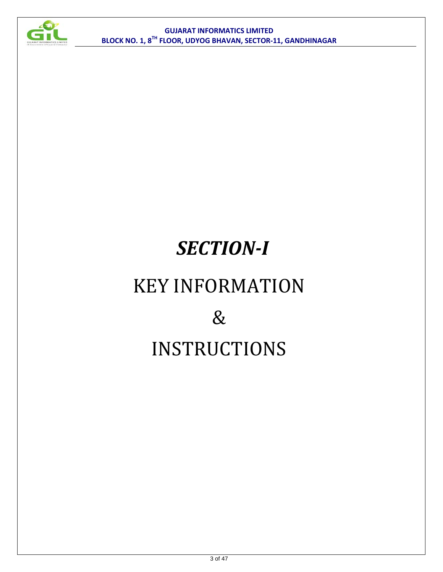

# *SECTION-I* KEY INFORMATION  $\&$ INSTRUCTIONS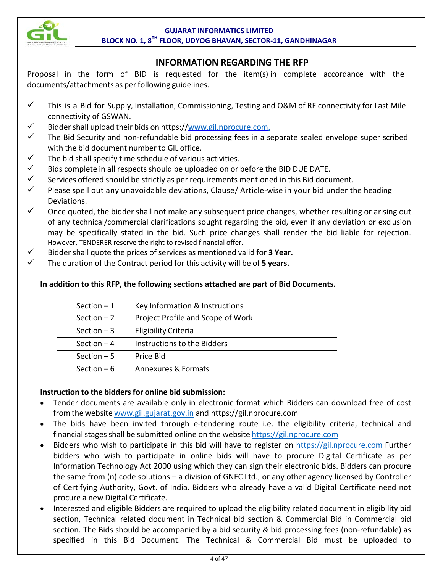

#### **INFORMATION REGARDING THE RFP**

Proposal in the form of BID is requested for the item(s) in complete accordance with the documents/attachments as perfollowing guidelines.

- $\checkmark$  This is a Bid for Supply, Installation, Commissioning, Testing and O&M of RF connectivity for Last Mile connectivity of GSWAN.
- $\checkmark$  Bidder shall upload their bids on https:/[/www.gil.nprocure.com.](http://www.gil.nprocure.com./)
- $\checkmark$  The Bid Security and non-refundable bid processing fees in a separate sealed envelope super scribed with the bid document number to GIL office.
- $\checkmark$  The bid shall specify time schedule of various activities.
- $\checkmark$  Bids complete in all respects should be uploaded on or before the BID DUE DATE.
- $\checkmark$  Services offered should be strictly as per requirements mentioned in this Bid document.
- $\checkmark$  Please spell out any unavoidable deviations, Clause/Article-wise in your bid under the heading Deviations.
- $\checkmark$  Once quoted, the bidder shall not make any subsequent price changes, whether resulting or arising out of any technical/commercial clarifications sought regarding the bid, even if any deviation or exclusion may be specifically stated in the bid. Such price changes shall render the bid liable for rejection. However, TENDERER reserve the right to revised financial offer.
- Bidder shall quote the prices of services as mentioned valid for **3 Year.**
- The duration of the Contract period for this activity will be of **5 years.**

| Section $-1$                                      | Key Information & Instructions |  |  |
|---------------------------------------------------|--------------------------------|--|--|
| Project Profile and Scope of Work<br>Section $-2$ |                                |  |  |
| Eligibility Criteria<br>Section $-3$              |                                |  |  |
| Section $-4$                                      | Instructions to the Bidders    |  |  |
| Section $-5$                                      | Price Bid                      |  |  |
| Annexures & Formats<br>Section $-6$               |                                |  |  |

#### **In addition to this RFP, the following sections attached are part of Bid Documents.**

#### **Instruction to the biddersfor online bid submission:**

- Tender documents are available only in electronic format which Bidders can download free of cost fromthe website [www.gil.gujarat.gov.in](http://www.gil.gujarat.gov.in/) and https://gil.nprocure.com
- The bids have been invited through e-tendering route i.e. the eligibility criteria, technical and financial stages shall be submitted online on the website [https://gil.nprocure.com](https://gil.nprocure.com/)
- Bidders who wish to participate in this bid will have to register on [https://gil.nprocure.com](https://gil.nprocure.com/) Further bidders who wish to participate in online bids will have to procure Digital Certificate as per Information Technology Act 2000 using which they can sign their electronic bids. Bidders can procure the same from (n) code solutions – a division of GNFC Ltd., or any other agency licensed by Controller of Certifying Authority, Govt. of India. Bidders who already have a valid Digital Certificate need not procure a new Digital Certificate.
- Interested and eligible Bidders are required to upload the eligibility related document in eligibility bid section, Technical related document in Technical bid section & Commercial Bid in Commercial bid section. The Bids should be accompanied by a bid security & bid processing fees (non-refundable) as specified in this Bid Document. The Technical & Commercial Bid must be uploaded to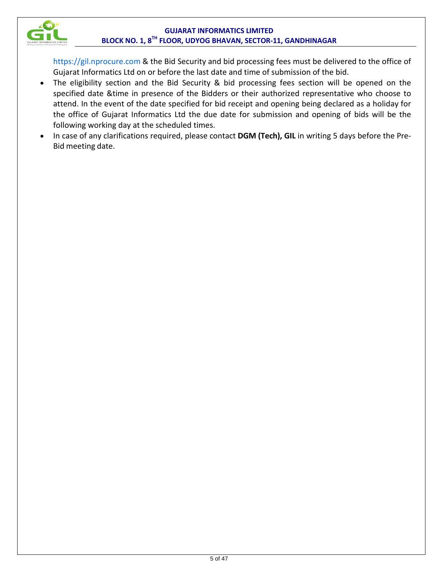

https://gil.nprocure.com & the Bid Security and bid processing fees must be delivered to the office of Gujarat Informatics Ltd on or before the last date and time of submission of the bid.

- The eligibility section and the Bid Security & bid processing fees section will be opened on the specified date &time in presence of the Bidders or their authorized representative who choose to attend. In the event of the date specified for bid receipt and opening being declared as a holiday for the office of Gujarat Informatics Ltd the due date for submission and opening of bids will be the following working day at the scheduled times.
- In case of any clarifications required, please contact **DGM (Tech), GIL** in writing 5 days before the Pre‐ Bid meeting date.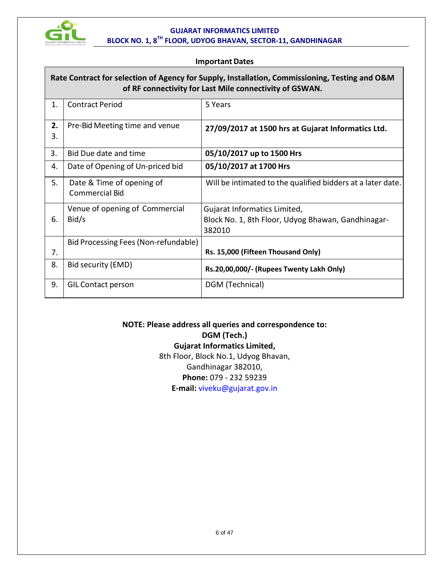

#### **Important Dates**

#### **Rate Contract for selection of Agency for Supply, Installation, Commissioning, Testing and O&M of RF connectivity for Last Mile connectivity of GSWAN.**

| 1. | <b>Contract Period</b>               | 5 Years                                                     |
|----|--------------------------------------|-------------------------------------------------------------|
| 2. | Pre-Bid Meeting time and venue       | 27/09/2017 at 1500 hrs at Gujarat Informatics Ltd.          |
| 3. |                                      |                                                             |
| 3. | Bid Due date and time                | 05/10/2017 up to 1500 Hrs                                   |
| 4. | Date of Opening of Un-priced bid     | 05/10/2017 at 1700 Hrs                                      |
| 5. | Date & Time of opening of            | Will be intimated to the qualified bidders at a later date. |
|    | <b>Commercial Bid</b>                |                                                             |
|    | Venue of opening of Commercial       | Gujarat Informatics Limited,                                |
| 6. | Bid/s                                | Block No. 1, 8th Floor, Udyog Bhawan, Gandhinagar-          |
|    |                                      | 382010                                                      |
|    | Bid Processing Fees (Non-refundable) |                                                             |
| 7. |                                      | Rs. 15,000 (Fifteen Thousand Only)                          |
| 8. | Bid security (EMD)                   | Rs.20,00,000/- (Rupees Twenty Lakh Only)                    |
| 9. | <b>GIL Contact person</b>            | DGM (Technical)                                             |

#### **NOTE: Please address all queries and correspondence to: DGM (Tech.) Gujarat Informatics Limited,** 8th Floor, Block No.1, Udyog Bhavan, Gandhinagar 382010,

**Phone:** 079 - 232 59239

**E-mail:** viveku@gujarat.gov.in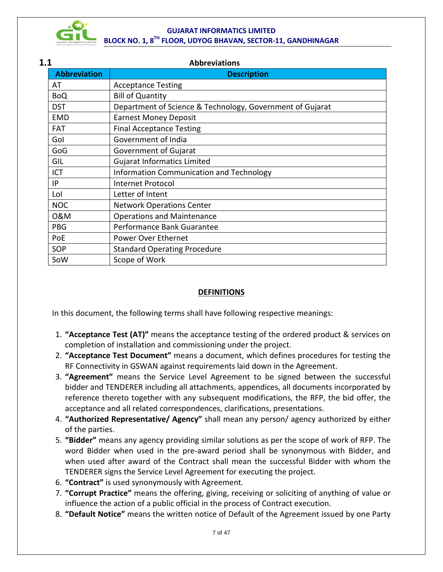

| 1.1 |                     | <b>Abbreviations</b>                                      |  |  |  |  |  |
|-----|---------------------|-----------------------------------------------------------|--|--|--|--|--|
|     | <b>Abbreviation</b> | <b>Description</b>                                        |  |  |  |  |  |
| AT  |                     | <b>Acceptance Testing</b>                                 |  |  |  |  |  |
|     | <b>BoQ</b>          | <b>Bill of Quantity</b>                                   |  |  |  |  |  |
|     | <b>DST</b>          | Department of Science & Technology, Government of Gujarat |  |  |  |  |  |
|     | <b>EMD</b>          | <b>Earnest Money Deposit</b>                              |  |  |  |  |  |
|     | <b>FAT</b>          | <b>Final Acceptance Testing</b>                           |  |  |  |  |  |
|     | Gol                 | Government of India                                       |  |  |  |  |  |
|     | GoG                 | Government of Gujarat                                     |  |  |  |  |  |
|     | GIL                 | <b>Gujarat Informatics Limited</b>                        |  |  |  |  |  |
| ICT |                     | Information Communication and Technology                  |  |  |  |  |  |
| IP  |                     | <b>Internet Protocol</b>                                  |  |  |  |  |  |
| Lol |                     | Letter of Intent                                          |  |  |  |  |  |
|     | <b>NOC</b>          | <b>Network Operations Center</b>                          |  |  |  |  |  |
|     | 0&M                 | <b>Operations and Maintenance</b>                         |  |  |  |  |  |
|     | <b>PBG</b>          | Performance Bank Guarantee                                |  |  |  |  |  |
|     | PoE                 | Power Over Ethernet                                       |  |  |  |  |  |
|     | SOP                 | <b>Standard Operating Procedure</b>                       |  |  |  |  |  |
|     | SoW                 | Scope of Work                                             |  |  |  |  |  |

#### **DEFINITIONS**

In this document, the following terms shall have following respective meanings:

- 1. **"Acceptance Test (AT)"** means the acceptance testing of the ordered product & services on completion of installation and commissioning under the project.
- 2. **"Acceptance Test Document"** means a document, which defines procedures for testing the RF Connectivity in GSWAN against requirements laid down in the Agreement.
- 3. **"Agreement"** means the Service Level Agreement to be signed between the successful bidder and TENDERER including all attachments, appendices, all documents incorporated by reference thereto together with any subsequent modifications, the RFP, the bid offer, the acceptance and all related correspondences, clarifications, presentations.
- 4. **"Authorized Representative/ Agency"** shall mean any person/ agency authorized by either of the parties.
- 5. **"Bidder"** means any agency providing similar solutions as per the scope of work of RFP. The word Bidder when used in the pre-award period shall be synonymous with Bidder, and when used after award of the Contract shall mean the successful Bidder with whom the TENDERER signs the Service Level Agreement for executing the project.
- 6. **"Contract"** is used synonymously with Agreement.
- 7. **"Corrupt Practice"** means the offering, giving, receiving or soliciting of anything of value or influence the action of a public official in the process of Contract execution.
- 8. **"Default Notice"** means the written notice of Default of the Agreement issued by one Party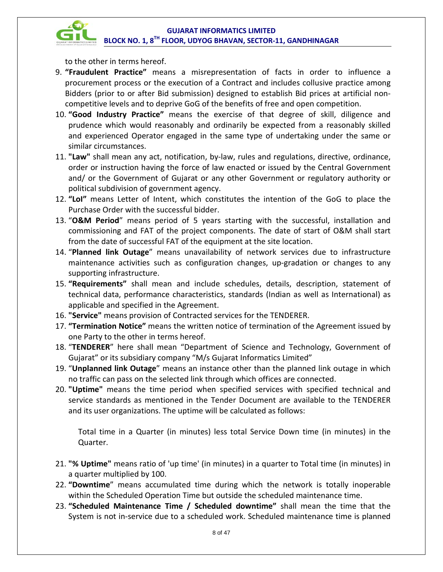

to the other in terms hereof.

- 9. **"Fraudulent Practice"** means a misrepresentation of facts in order to influence a procurement process or the execution of a Contract and includes collusive practice among Bidders (prior to or after Bid submission) designed to establish Bid prices at artificial noncompetitive levels and to deprive GoG of the benefits of free and open competition.
- 10. **"Good Industry Practice"** means the exercise of that degree of skill, diligence and prudence which would reasonably and ordinarily be expected from a reasonably skilled and experienced Operator engaged in the same type of undertaking under the same or similar circumstances.
- 11. **"Law"** shall mean any act, notification, by-law, rules and regulations, directive, ordinance, order or instruction having the force of law enacted or issued by the Central Government and/ or the Government of Gujarat or any other Government or regulatory authority or political subdivision of government agency.
- 12. **"LoI"** means Letter of Intent, which constitutes the intention of the GoG to place the Purchase Order with the successful bidder.
- 13. "**O&M Period**" means period of 5 years starting with the successful, installation and commissioning and FAT of the project components. The date of start of O&M shall start from the date of successful FAT of the equipment at the site location.
- 14. "**Planned link Outage**" means unavailability of network services due to infrastructure maintenance activities such as configuration changes, up‐gradation or changes to any supporting infrastructure.
- 15. **"Requirements"** shall mean and include schedules, details, description, statement of technical data, performance characteristics, standards (Indian as well as International) as applicable and specified in the Agreement.
- 16. **"Service"** means provision of Contracted services for the TENDERER.
- 17. **"Termination Notice"** means the written notice of termination of the Agreement issued by one Party to the other in terms hereof.
- 18. "**TENDERER**" here shall mean "Department of Science and Technology, Government of Gujarat" or its subsidiary company "M/s Gujarat Informatics Limited"
- 19. "**Unplanned link Outage**" means an instance other than the planned link outage in which no traffic can pass on the selected link through which offices are connected.
- 20. **"Uptime"** means the time period when specified services with specified technical and service standards as mentioned in the Tender Document are available to the TENDERER and its user organizations. The uptime will be calculated as follows:

Total time in a Quarter (in minutes) less total Service Down time (in minutes) in the Quarter.

- 21. **"% Uptime"** means ratio of 'up time' (in minutes) in a quarter to Total time (in minutes) in a quarter multiplied by 100.
- 22. **"Downtime**" means accumulated time during which the network is totally inoperable within the Scheduled Operation Time but outside the scheduled maintenance time.
- 23. **"Scheduled Maintenance Time / Scheduled downtime"** shall mean the time that the System is not in-service due to a scheduled work. Scheduled maintenance time is planned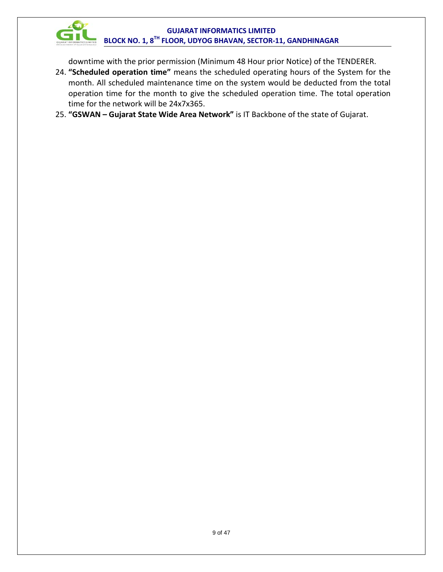

downtime with the prior permission (Minimum 48 Hour prior Notice) of the TENDERER.

- 24. **"Scheduled operation time"** means the scheduled operating hours of the System for the month. All scheduled maintenance time on the system would be deducted from the total operation time for the month to give the scheduled operation time. The total operation time for the network will be 24x7x365.
- 25. **"GSWAN – Gujarat State Wide Area Network"** is IT Backbone of the state of Gujarat.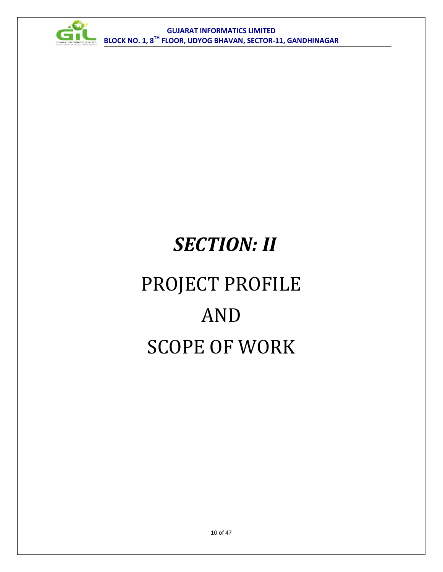

# *SECTION: II* PROJECT PROFILE AND SCOPE OF WORK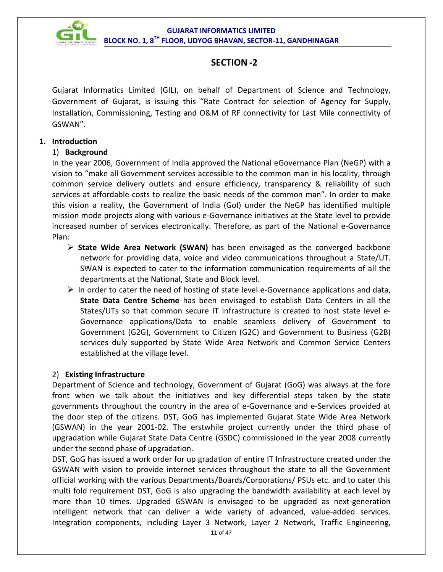

### **SECTION -2**

Gujarat Informatics Limited (GIL), on behalf of Department of Science and Technology, Government of Gujarat, is issuing this "Rate Contract for selection of Agency for Supply, Installation, Commissioning, Testing and O&M of RF connectivity for Last Mile connectivity of GSWAN".

#### **1. Introduction**

#### 1) **Background**

In the year 2006, Government of India approved the National eGovernance Plan (NeGP) with a vision to "make all Government services accessible to the common man in his locality, through common service delivery outlets and ensure efficiency, transparency & reliability of such services at affordable costs to realize the basic needs of the common man". In order to make this vision a reality, the Government of India (GoI) under the NeGP has identified multiple mission mode projects along with various e-Governance initiatives at the State level to provide increased number of services electronically. Therefore, as part of the National e-Governance Plan:

- **State Wide Area Network (SWAN)** has been envisaged as the converged backbone network for providing data, voice and video communications throughout a State/UT. SWAN is expected to cater to the information communication requirements of all the departments at the National, State and Block level.
- $\triangleright$  In order to cater the need of hosting of state level e-Governance applications and data, **State Data Centre Scheme** has been envisaged to establish Data Centers in all the States/UTs so that common secure IT infrastructure is created to host state level e-Governance applications/Data to enable seamless delivery of Government to Government (G2G), Government to Citizen (G2C) and Government to Business (G2B) services duly supported by State Wide Area Network and Common Service Centers established at the village level.

#### 2) **Existing Infrastructure**

Department of Science and technology, Government of Gujarat (GoG) was always at the fore front when we talk about the initiatives and key differential steps taken by the state governments throughout the country in the area of e-Governance and e-Services provided at the door step of the citizens. DST, GoG has implemented Gujarat State Wide Area Network (GSWAN) in the year 2001-02. The erstwhile project currently under the third phase of upgradation while Gujarat State Data Centre (GSDC) commissioned in the year 2008 currently under the second phase of upgradation.

DST, GoG has issued a work order for up gradation of entire IT Infrastructure created under the GSWAN with vision to provide internet services throughout the state to all the Government official working with the various Departments/Boards/Corporations/ PSUs etc. and to cater this multi fold requirement DST, GoG is also upgrading the bandwidth availability at each level by more than 10 times. Upgraded GSWAN is envisaged to be upgraded as next-generation intelligent network that can deliver a wide variety of advanced, value-added services. Integration components, including Layer 3 Network, Layer 2 Network, Traffic Engineering,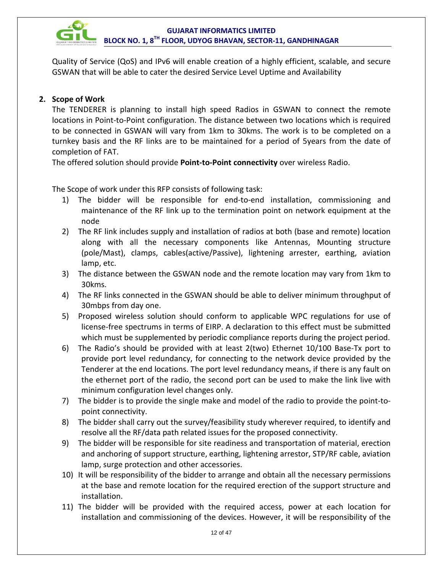

Quality of Service (QoS) and IPv6 will enable creation of a highly efficient, scalable, and secure GSWAN that will be able to cater the desired Service Level Uptime and Availability

#### **2. Scope of Work**

The TENDERER is planning to install high speed Radios in GSWAN to connect the remote locations in Point-to-Point configuration. The distance between two locations which is required to be connected in GSWAN will vary from 1km to 30kms. The work is to be completed on a turnkey basis and the RF links are to be maintained for a period of 5years from the date of completion of FAT.

The offered solution should provide **Point-to-Point connectivity** over wireless Radio.

The Scope of work under this RFP consists of following task:

- 1) The bidder will be responsible for end-to-end installation, commissioning and maintenance of the RF link up to the termination point on network equipment at the node
- 2) The RF link includes supply and installation of radios at both (base and remote) location along with all the necessary components like Antennas, Mounting structure (pole/Mast), clamps, cables(active/Passive), lightening arrester, earthing, aviation lamp, etc.
- 3) The distance between the GSWAN node and the remote location may vary from 1km to 30kms.
- 4) The RF links connected in the GSWAN should be able to deliver minimum throughput of 30mbps from day one.
- 5) Proposed wireless solution should conform to applicable WPC regulations for use of license-free spectrums in terms of EIRP. A declaration to this effect must be submitted which must be supplemented by periodic compliance reports during the project period.
- 6) The Radio's should be provided with at least 2(two) Ethernet 10/100 Base-Tx port to provide port level redundancy, for connecting to the network device provided by the Tenderer at the end locations. The port level redundancy means, if there is any fault on the ethernet port of the radio, the second port can be used to make the link live with minimum configuration level changes only.
- 7) The bidder is to provide the single make and model of the radio to provide the point-topoint connectivity.
- 8) The bidder shall carry out the survey/feasibility study wherever required, to identify and resolve all the RF/data path related issues for the proposed connectivity.
- 9) The bidder will be responsible for site readiness and transportation of material, erection and anchoring of support structure, earthing, lightening arrestor, STP/RF cable, aviation lamp, surge protection and other accessories.
- 10) It will be responsibility of the bidder to arrange and obtain all the necessary permissions at the base and remote location for the required erection of the support structure and installation.
- 11) The bidder will be provided with the required access, power at each location for installation and commissioning of the devices. However, it will be responsibility of the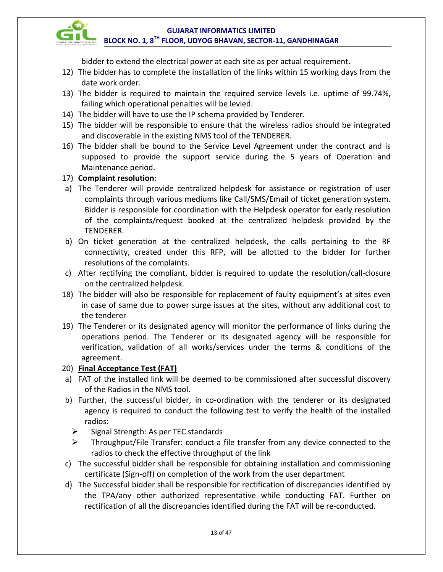

bidder to extend the electrical power at each site as per actual requirement.

- 12) The bidder has to complete the installation of the links within 15 working days from the date work order.
- 13) The bidder is required to maintain the required service levels i.e. uptime of 99.74%, failing which operational penalties will be levied.
- 14) The bidder will have to use the IP schema provided by Tenderer.
- 15) The bidder will be responsible to ensure that the wireless radios should be integrated and discoverable in the existing NMS tool of the TENDERER.
- 16) The bidder shall be bound to the Service Level Agreement under the contract and is supposed to provide the support service during the 5 years of Operation and Maintenance period.
- 17) **Complaint resolution**:
- a) The Tenderer will provide centralized helpdesk for assistance or registration of user complaints through various mediums like Call/SMS/Email of ticket generation system. Bidder is responsible for coordination with the Helpdesk operator for early resolution of the complaints/request booked at the centralized helpdesk provided by the TENDERER.
- b) On ticket generation at the centralized helpdesk, the calls pertaining to the RF connectivity, created under this RFP, will be allotted to the bidder for further resolutions of the complaints.
- c) After rectifying the compliant, bidder is required to update the resolution/call-closure on the centralized helpdesk.
- 18) The bidder will also be responsible for replacement of faulty equipment's at sites even in case of same due to power surge issues at the sites, without any additional cost to the tenderer
- 19) The Tenderer or its designated agency will monitor the performance of links during the operations period. The Tenderer or its designated agency will be responsible for verification, validation of all works/services under the terms & conditions of the agreement.
- 20) **Final Acceptance Test (FAT)**
- a) FAT of the installed link will be deemed to be commissioned after successful discovery of the Radios in the NMS tool.
- b) Further, the successful bidder, in co-ordination with the tenderer or its designated agency is required to conduct the following test to verify the health of the installed radios:
	- $\triangleright$  Signal Strength: As per TEC standards
	- $\triangleright$  Throughput/File Transfer: conduct a file transfer from any device connected to the radios to check the effective throughput of the link
- c) The successful bidder shall be responsible for obtaining installation and commissioning certificate (Sign-off) on completion of the work from the user department
- d) The Successful bidder shall be responsible for rectification of discrepancies identified by the TPA/any other authorized representative while conducting FAT. Further on rectification of all the discrepancies identified during the FAT will be re-conducted.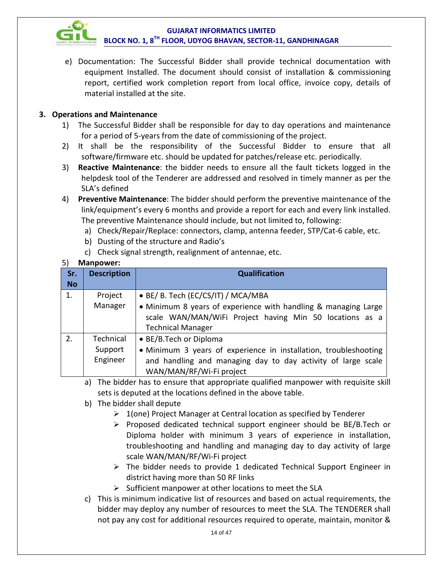

e) Documentation: The Successful Bidder shall provide technical documentation with equipment Installed. The document should consist of installation & commissioning report, certified work completion report from local office, invoice copy, details of material installed at the site.

#### **3. Operations and Maintenance**

- 1) The Successful Bidder shall be responsible for day to day operations and maintenance for a period of 5-years from the date of commissioning of the project.
- 2) It shall be the responsibility of the Successful Bidder to ensure that all software/firmware etc. should be updated for patches/release etc. periodically.
- 3) **Reactive Maintenance**: the bidder needs to ensure all the fault tickets logged in the helpdesk tool of the Tenderer are addressed and resolved in timely manner as per the SLA's defined
- 4) **Preventive Maintenance**: The bidder should perform the preventive maintenance of the link/equipment's every 6 months and provide a report for each and every link installed. The preventive Maintenance should include, but not limited to, following:
	- a) Check/Repair/Replace: connectors, clamp, antenna feeder, STP/Cat-6 cable, etc.
	- b) Dusting of the structure and Radio's
	- c) Check signal strength, realignment of antennae, etc.

#### 5) **Manpower:**

| Sr.       | <b>Description</b>               | <b>Qualification</b>                                                                                                                                                                   |  |  |
|-----------|----------------------------------|----------------------------------------------------------------------------------------------------------------------------------------------------------------------------------------|--|--|
| <b>No</b> |                                  |                                                                                                                                                                                        |  |  |
| 1.        | Project                          | • BE/ B. Tech (EC/CS/IT) / MCA/MBA                                                                                                                                                     |  |  |
|           | Manager                          | • Minimum 8 years of experience with handling & managing Large<br>scale WAN/MAN/WiFi Project having Min 50 locations as a<br><b>Technical Manager</b>                                  |  |  |
| 2.        | Technical<br>Support<br>Engineer | • BE/B.Tech or Diploma<br>• Minimum 3 years of experience in installation, troubleshooting<br>and handling and managing day to day activity of large scale<br>WAN/MAN/RF/Wi-Fi project |  |  |

- a) The bidder has to ensure that appropriate qualified manpower with requisite skill sets is deputed at the locations defined in the above table.
- b) The bidder shall depute
	- $\geq 1$ (one) Project Manager at Central location as specified by Tenderer
	- $\triangleright$  Proposed dedicated technical support engineer should be BE/B.Tech or Diploma holder with minimum 3 years of experience in installation, troubleshooting and handling and managing day to day activity of large scale WAN/MAN/RF/Wi-Fi project
	- $\triangleright$  The bidder needs to provide 1 dedicated Technical Support Engineer in district having more than 50 RF links
	- $\triangleright$  Sufficient manpower at other locations to meet the SLA
- c) This is minimum indicative list of resources and based on actual requirements, the bidder may deploy any number of resources to meet the SLA. The TENDERER shall not pay any cost for additional resources required to operate, maintain, monitor &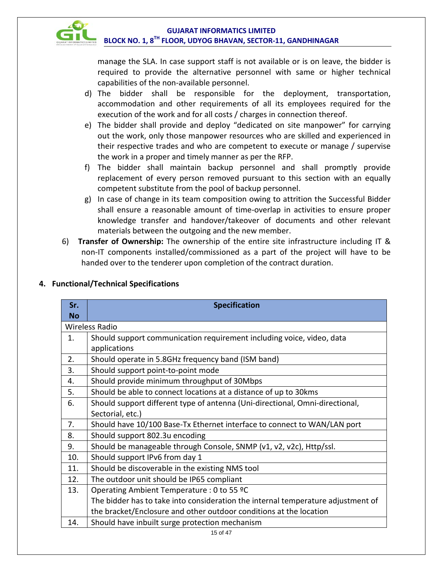manage the SLA. In case support staff is not available or is on leave, the bidder is required to provide the alternative personnel with same or higher technical capabilities of the non-available personnel.

- d) The bidder shall be responsible for the deployment, transportation, accommodation and other requirements of all its employees required for the execution of the work and for all costs / charges in connection thereof.
- e) The bidder shall provide and deploy "dedicated on site manpower" for carrying out the work, only those manpower resources who are skilled and experienced in their respective trades and who are competent to execute or manage / supervise the work in a proper and timely manner as per the RFP.
- f) The bidder shall maintain backup personnel and shall promptly provide replacement of every person removed pursuant to this section with an equally competent substitute from the pool of backup personnel.
- g) In case of change in its team composition owing to attrition the Successful Bidder shall ensure a reasonable amount of time-overlap in activities to ensure proper knowledge transfer and handover/takeover of documents and other relevant materials between the outgoing and the new member.
- 6) **Transfer of Ownership:** The ownership of the entire site infrastructure including IT & non-IT components installed/commissioned as a part of the project will have to be handed over to the tenderer upon completion of the contract duration.

| Sr.       | <b>Specification</b>                                                             |  |  |  |  |  |
|-----------|----------------------------------------------------------------------------------|--|--|--|--|--|
| <b>No</b> |                                                                                  |  |  |  |  |  |
|           | <b>Wireless Radio</b>                                                            |  |  |  |  |  |
| 1.        | Should support communication requirement including voice, video, data            |  |  |  |  |  |
|           | applications                                                                     |  |  |  |  |  |
| 2.        | Should operate in 5.8GHz frequency band (ISM band)                               |  |  |  |  |  |
| 3.        | Should support point-to-point mode                                               |  |  |  |  |  |
| 4.        | Should provide minimum throughput of 30Mbps                                      |  |  |  |  |  |
| 5.        | Should be able to connect locations at a distance of up to 30kms                 |  |  |  |  |  |
| 6.        | Should support different type of antenna (Uni-directional, Omni-directional,     |  |  |  |  |  |
|           | Sectorial, etc.)                                                                 |  |  |  |  |  |
| 7.        | Should have 10/100 Base-Tx Ethernet interface to connect to WAN/LAN port         |  |  |  |  |  |
| 8.        | Should support 802.3u encoding                                                   |  |  |  |  |  |
| 9.        | Should be manageable through Console, SNMP (v1, v2, v2c), Http/ssl.              |  |  |  |  |  |
| 10.       | Should support IPv6 from day 1                                                   |  |  |  |  |  |
| 11.       | Should be discoverable in the existing NMS tool                                  |  |  |  |  |  |
| 12.       | The outdoor unit should be IP65 compliant                                        |  |  |  |  |  |
| 13.       | Operating Ambient Temperature : 0 to 55 ºC                                       |  |  |  |  |  |
|           | The bidder has to take into consideration the internal temperature adjustment of |  |  |  |  |  |
|           | the bracket/Enclosure and other outdoor conditions at the location               |  |  |  |  |  |
| 14.       | Should have inbuilt surge protection mechanism                                   |  |  |  |  |  |
|           | 15 of 47                                                                         |  |  |  |  |  |

#### **4. Functional/Technical Specifications**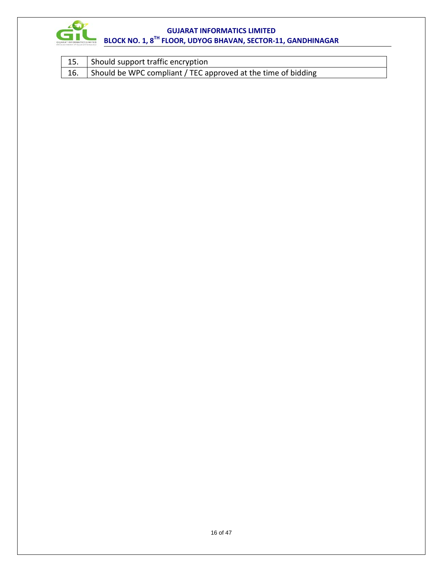

| 15. Should support traffic encryption                             |
|-------------------------------------------------------------------|
| 16. Should be WPC compliant / TEC approved at the time of bidding |

 $\overline{\phantom{a}}$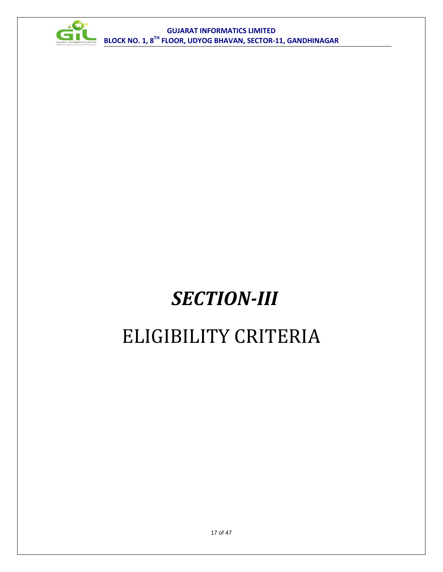

# *SECTION-III*

### ELIGIBILITY CRITERIA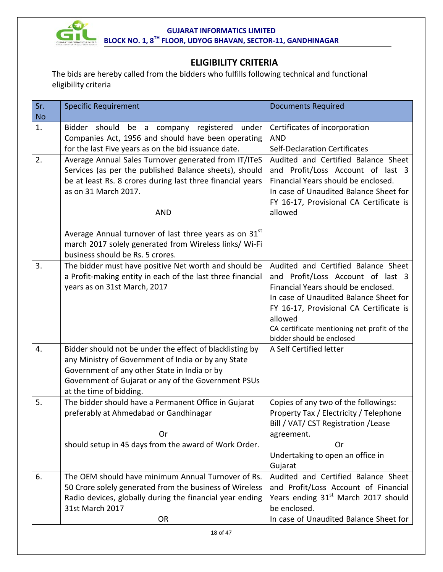

### **ELIGIBILITY CRITERIA**

The bids are hereby called from the bidders who fulfills following technical and functional eligibility criteria

| Sr.<br><b>No</b> | <b>Specific Requirement</b><br><b>Documents Required</b>                                                                                                                                                                                          |                                                                                                                                                                                                                                                                                             |  |  |
|------------------|---------------------------------------------------------------------------------------------------------------------------------------------------------------------------------------------------------------------------------------------------|---------------------------------------------------------------------------------------------------------------------------------------------------------------------------------------------------------------------------------------------------------------------------------------------|--|--|
| 1.               | Bidder should<br>be a company registered under<br>Companies Act, 1956 and should have been operating<br>for the last Five years as on the bid issuance date.                                                                                      | Certificates of incorporation<br><b>AND</b><br><b>Self-Declaration Certificates</b>                                                                                                                                                                                                         |  |  |
| 2.               | Average Annual Sales Turnover generated from IT/ITeS<br>Services (as per the published Balance sheets), should<br>be at least Rs. 8 crores during last three financial years<br>as on 31 March 2017.<br><b>AND</b>                                | Audited and Certified Balance Sheet<br>and Profit/Loss Account of last 3<br>Financial Years should be enclosed.<br>In case of Unaudited Balance Sheet for<br>FY 16-17, Provisional CA Certificate is<br>allowed                                                                             |  |  |
|                  | Average Annual turnover of last three years as on $31st$<br>march 2017 solely generated from Wireless links/ Wi-Fi<br>business should be Rs. 5 crores.                                                                                            |                                                                                                                                                                                                                                                                                             |  |  |
| 3.               | The bidder must have positive Net worth and should be<br>a Profit-making entity in each of the last three financial<br>years as on 31st March, 2017                                                                                               | Audited and Certified Balance Sheet<br>and Profit/Loss Account of last 3<br>Financial Years should be enclosed.<br>In case of Unaudited Balance Sheet for<br>FY 16-17, Provisional CA Certificate is<br>allowed<br>CA certificate mentioning net profit of the<br>bidder should be enclosed |  |  |
| 4.               | Bidder should not be under the effect of blacklisting by<br>any Ministry of Government of India or by any State<br>Government of any other State in India or by<br>Government of Gujarat or any of the Government PSUs<br>at the time of bidding. | A Self Certified letter                                                                                                                                                                                                                                                                     |  |  |
| 5.               | The bidder should have a Permanent Office in Gujarat<br>preferably at Ahmedabad or Gandhinagar<br>Or<br>should setup in 45 days from the award of Work Order.                                                                                     | Copies of any two of the followings:<br>Property Tax / Electricity / Telephone<br>Bill / VAT/ CST Registration / Lease<br>agreement.<br>Or<br>Undertaking to open an office in<br>Gujarat                                                                                                   |  |  |
| 6.               | The OEM should have minimum Annual Turnover of Rs.<br>50 Crore solely generated from the business of Wireless<br>Radio devices, globally during the financial year ending<br>31st March 2017<br><b>OR</b>                                         | Audited and Certified Balance Sheet<br>and Profit/Loss Account of Financial<br>Years ending 31 <sup>st</sup> March 2017 should<br>be enclosed.<br>In case of Unaudited Balance Sheet for                                                                                                    |  |  |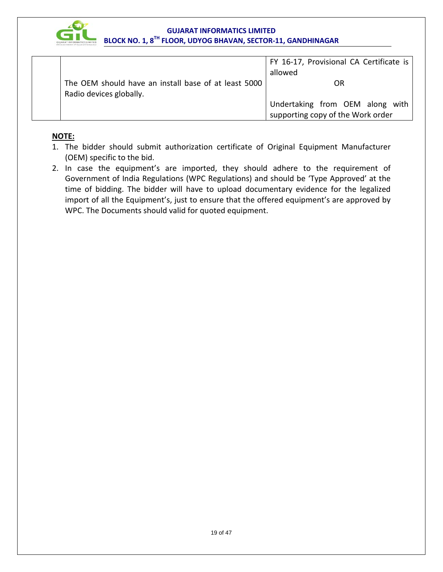

|                                                      | FY 16-17, Provisional CA Certificate is |
|------------------------------------------------------|-----------------------------------------|
|                                                      | allowed                                 |
| The OEM should have an install base of at least 5000 | OR                                      |
| Radio devices globally.                              |                                         |
|                                                      | Undertaking from OEM along with         |
|                                                      | supporting copy of the Work order       |

#### **NOTE:**

- 1. The bidder should submit authorization certificate of Original Equipment Manufacturer (OEM) specific to the bid.
- 2. In case the equipment's are imported, they should adhere to the requirement of Government of India Regulations (WPC Regulations) and should be 'Type Approved' at the time of bidding. The bidder will have to upload documentary evidence for the legalized import of all the Equipment's, just to ensure that the offered equipment's are approved by WPC. The Documents should valid for quoted equipment.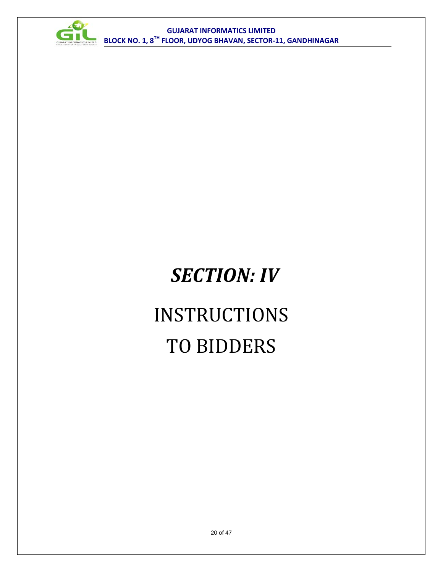

# *SECTION: IV*

# INSTRUCTIONS TO BIDDERS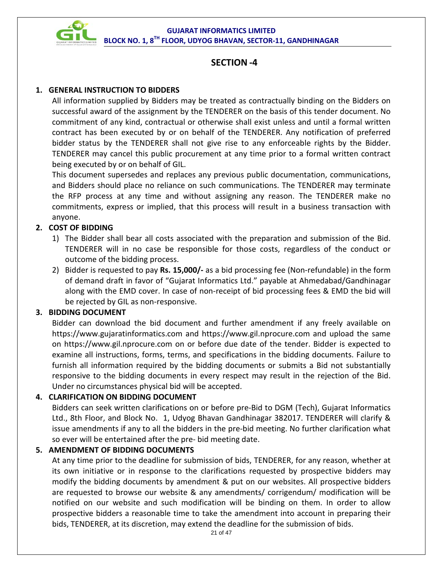

#### **SECTION -4**

#### **1. GENERAL INSTRUCTION TO BIDDERS**

All information supplied by Bidders may be treated as contractually binding on the Bidders on successful award of the assignment by the TENDERER on the basis of this tender document. No commitment of any kind, contractual or otherwise shall exist unless and until a formal written contract has been executed by or on behalf of the TENDERER. Any notification of preferred bidder status by the TENDERER shall not give rise to any enforceable rights by the Bidder. TENDERER may cancel this public procurement at any time prior to a formal written contract being executed by or on behalf of GIL.

This document supersedes and replaces any previous public documentation, communications, and Bidders should place no reliance on such communications. The TENDERER may terminate the RFP process at any time and without assigning any reason. The TENDERER make no commitments, express or implied, that this process will result in a business transaction with anyone.

#### **2. COST OF BIDDING**

- 1) The Bidder shall bear all costs associated with the preparation and submission of the Bid. TENDERER will in no case be responsible for those costs, regardless of the conduct or outcome of the bidding process.
- 2) Bidder is requested to pay **Rs. 15,000/-** as a bid processing fee (Non-refundable) in the form of demand draft in favor of "Gujarat Informatics Ltd." payable at Ahmedabad/Gandhinagar along with the EMD cover. In case of non-receipt of bid processing fees & EMD the bid will be rejected by GIL as non-responsive.

#### **3. BIDDING DOCUMENT**

Bidder can download the bid document and further amendment if any freely available on [https://www.gujaratinformatics.com](https://www.gujaratinformatics.com/) and [https://www.gil.nprocure.com](https://www.gil.nprocure.com/) and upload the same on [https://www.gil.nprocure.com](https://www.gil.nprocure.com/) on or before due date of the tender. Bidder is expected to examine all instructions, forms, terms, and specifications in the bidding documents. Failure to furnish all information required by the bidding documents or submits a Bid not substantially responsive to the bidding documents in every respect may result in the rejection of the Bid. Under no circumstances physical bid will be accepted.

#### **4. CLARIFICATION ON BIDDING DOCUMENT**

Bidders can seek written clarifications on or before pre-Bid to DGM (Tech), Gujarat Informatics Ltd., 8th Floor, and Block No. 1, Udyog Bhavan Gandhinagar 382017. TENDERER will clarify & issue amendments if any to all the bidders in the pre-bid meeting. No further clarification what so ever will be entertained after the pre- bid meeting date.

#### **5. AMENDMENT OF BIDDING DOCUMENTS**

At any time prior to the deadline for submission of bids, TENDERER, for any reason, whether at its own initiative or in response to the clarifications requested by prospective bidders may modify the bidding documents by amendment & put on our websites. All prospective bidders are requested to browse our website & any amendments/ corrigendum/ modification will be notified on our website and such modification will be binding on them. In order to allow prospective bidders a reasonable time to take the amendment into account in preparing their bids, TENDERER, at its discretion, may extend the deadline for the submission of bids.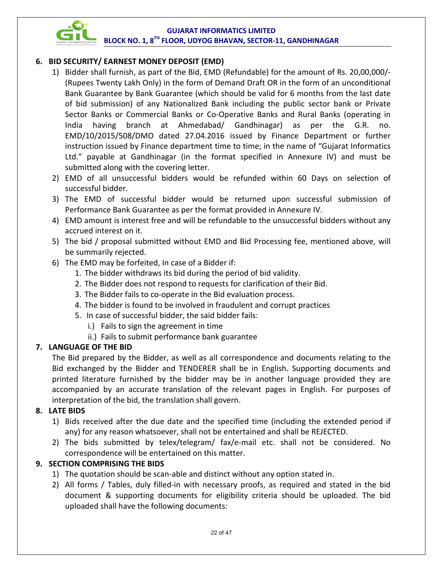

#### **6. BID SECURITY/ EARNEST MONEY DEPOSIT (EMD)**

- 1) Bidder shall furnish, as part of the Bid, EMD (Refundable) for the amount of Rs. 20,00,000/-(Rupees Twenty Lakh Only) in the form of Demand Draft OR in the form of an unconditional Bank Guarantee by Bank Guarantee (which should be valid for 6 months from the last date of bid submission) of any Nationalized Bank including the public sector bank or Private Sector Banks or Commercial Banks or Co-Operative Banks and Rural Banks (operating in India having branch at Ahmedabad/ Gandhinagar) as per the G.R. no. EMD/10/2015/508/DMO dated 27.04.2016 issued by Finance Department or further instruction issued by Finance department time to time; in the name of "Gujarat Informatics Ltd." payable at Gandhinagar (in the format specified in Annexure IV) and must be submitted along with the covering letter.
- 2) EMD of all unsuccessful bidders would be refunded within 60 Days on selection of successful bidder.
- 3) The EMD of successful bidder would be returned upon successful submission of Performance Bank Guarantee as per the format provided in Annexure IV.
- 4) EMD amount is interest free and will be refundable to the unsuccessful bidders without any accrued interest on it.
- 5) The bid / proposal submitted without EMD and Bid Processing fee, mentioned above, will be summarily rejected.
- 6) The EMD may be forfeited, In case of a Bidder if:
	- 1. The bidder withdraws its bid during the period of bid validity.
	- 2. The Bidder does not respond to requests for clarification of their Bid.
	- 3. The Bidder fails to co-operate in the Bid evaluation process.
	- 4. The bidder is found to be involved in fraudulent and corrupt practices
	- 5. In case of successful bidder, the said bidder fails:
		- i.) Fails to sign the agreement in time
		- ii.) Fails to submit performance bank guarantee

#### **7. LANGUAGE OF THE BID**

The Bid prepared by the Bidder, as well as all correspondence and documents relating to the Bid exchanged by the Bidder and TENDERER shall be in English. Supporting documents and printed literature furnished by the bidder may be in another language provided they are accompanied by an accurate translation of the relevant pages in English. For purposes of interpretation of the bid, the translation shall govern.

#### **8. LATE BIDS**

- 1) Bids received after the due date and the specified time (including the extended period if any) for any reason whatsoever, shall not be entertained and shall be REJECTED.
- 2) The bids submitted by telex/telegram/ fax/e-mail etc. shall not be considered. No correspondence will be entertained on this matter.

#### **9. SECTION COMPRISING THE BIDS**

- 1) The quotation should be scan-able and distinct without any option stated in.
- 2) All forms / Tables, duly filled-in with necessary proofs, as required and stated in the bid document & supporting documents for eligibility criteria should be uploaded. The bid uploaded shall have the following documents: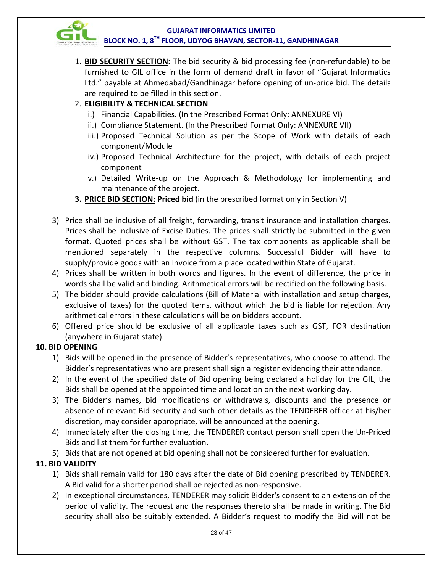

1. **BID SECURITY SECTION:** The bid security & bid processing fee (non-refundable) to be furnished to GIL office in the form of demand draft in favor of "Gujarat Informatics Ltd." payable at Ahmedabad/Gandhinagar before opening of un-price bid. The details are required to be filled in this section.

#### 2. **ELIGIBILITY & TECHNICAL SECTION**

- i.) Financial Capabilities. (In the Prescribed Format Only: ANNEXURE VI)
- ii.) Compliance Statement. (In the Prescribed Format Only: ANNEXURE VII)
- iii.) Proposed Technical Solution as per the Scope of Work with details of each component/Module
- iv.) Proposed Technical Architecture for the project, with details of each project component
- v.) Detailed Write‐up on the Approach & Methodology for implementing and maintenance of the project.
- **3. PRICE BID SECTION: Priced bid** (in the prescribed format only in Section V)
- 3) Price shall be inclusive of all freight, forwarding, transit insurance and installation charges. Prices shall be inclusive of Excise Duties. The prices shall strictly be submitted in the given format. Quoted prices shall be without GST. The tax components as applicable shall be mentioned separately in the respective columns. Successful Bidder will have to supply/provide goods with an Invoice from a place located within State of Gujarat.
- 4) Prices shall be written in both words and figures. In the event of difference, the price in words shall be valid and binding. Arithmetical errors will be rectified on the following basis.
- 5) The bidder should provide calculations (Bill of Material with installation and setup charges, exclusive of taxes) for the quoted items, without which the bid is liable for rejection. Any arithmetical errors in these calculations will be on bidders account.
- 6) Offered price should be exclusive of all applicable taxes such as GST, FOR destination (anywhere in Gujarat state).

#### **10. BID OPENING**

- 1) Bids will be opened in the presence of Bidder's representatives, who choose to attend. The Bidder's representatives who are present shall sign a register evidencing their attendance.
- 2) In the event of the specified date of Bid opening being declared a holiday for the GIL, the Bids shall be opened at the appointed time and location on the next working day.
- 3) The Bidder's names, bid modifications or withdrawals, discounts and the presence or absence of relevant Bid security and such other details as the TENDERER officer at his/her discretion, may consider appropriate, will be announced at the opening.
- 4) Immediately after the closing time, the TENDERER contact person shall open the Un-Priced Bids and list them for further evaluation.
- 5) Bids that are not opened at bid opening shall not be considered further for evaluation.

#### **11. BID VALIDITY**

- 1) Bids shall remain valid for 180 days after the date of Bid opening prescribed by TENDERER. A Bid valid for a shorter period shall be rejected as non-responsive.
- 2) In exceptional circumstances, TENDERER may solicit Bidder's consent to an extension of the period of validity. The request and the responses thereto shall be made in writing. The Bid security shall also be suitably extended. A Bidder's request to modify the Bid will not be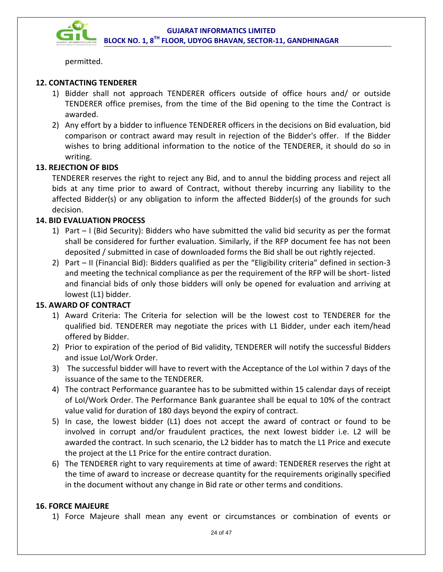

permitted.

#### **12. CONTACTING TENDERER**

- 1) Bidder shall not approach TENDERER officers outside of office hours and/ or outside TENDERER office premises, from the time of the Bid opening to the time the Contract is awarded.
- 2) Any effort by a bidder to influence TENDERER officers in the decisions on Bid evaluation, bid comparison or contract award may result in rejection of the Bidder's offer. If the Bidder wishes to bring additional information to the notice of the TENDERER, it should do so in writing.

#### **13. REJECTION OF BIDS**

TENDERER reserves the right to reject any Bid, and to annul the bidding process and reject all bids at any time prior to award of Contract, without thereby incurring any liability to the affected Bidder(s) or any obligation to inform the affected Bidder(s) of the grounds for such decision.

#### **14. BID EVALUATION PROCESS**

- 1) Part I (Bid Security): Bidders who have submitted the valid bid security as per the format shall be considered for further evaluation. Similarly, if the RFP document fee has not been deposited / submitted in case of downloaded forms the Bid shall be out rightly rejected.
- 2) Part II (Financial Bid): Bidders qualified as per the "Eligibility criteria" defined in section-3 and meeting the technical compliance as per the requirement of the RFP will be short- listed and financial bids of only those bidders will only be opened for evaluation and arriving at lowest (L1) bidder.

#### **15. AWARD OF CONTRACT**

- 1) Award Criteria: The Criteria for selection will be the lowest cost to TENDERER for the qualified bid. TENDERER may negotiate the prices with L1 Bidder, under each item/head offered by Bidder.
- 2) Prior to expiration of the period of Bid validity, TENDERER will notify the successful Bidders and issue LoI/Work Order.
- 3) The successful bidder will have to revert with the Acceptance of the LoI within 7 days of the issuance of the same to the TENDERER.
- 4) The contract Performance guarantee has to be submitted within 15 calendar days of receipt of LoI/Work Order. The Performance Bank guarantee shall be equal to 10% of the contract value valid for duration of 180 days beyond the expiry of contract.
- 5) In case, the lowest bidder (L1) does not accept the award of contract or found to be involved in corrupt and/or fraudulent practices, the next lowest bidder i.e. L2 will be awarded the contract. In such scenario, the L2 bidder has to match the L1 Price and execute the project at the L1 Price for the entire contract duration.
- 6) The TENDERER right to vary requirements at time of award: TENDERER reserves the right at the time of award to increase or decrease quantity for the requirements originally specified in the document without any change in Bid rate or other terms and conditions.

#### **16. FORCE MAJEURE**

1) Force Majeure shall mean any event or circumstances or combination of events or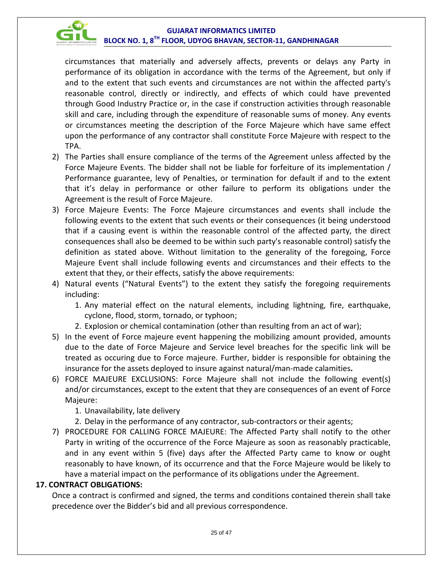

circumstances that materially and adversely affects, prevents or delays any Party in performance of its obligation in accordance with the terms of the Agreement, but only if and to the extent that such events and circumstances are not within the affected party's reasonable control, directly or indirectly, and effects of which could have prevented through Good Industry Practice or, in the case if construction activities through reasonable skill and care, including through the expenditure of reasonable sums of money. Any events or circumstances meeting the description of the Force Majeure which have same effect upon the performance of any contractor shall constitute Force Majeure with respect to the TPA.

- 2) The Parties shall ensure compliance of the terms of the Agreement unless affected by the Force Majeure Events. The bidder shall not be liable for forfeiture of its implementation / Performance guarantee, levy of Penalties, or termination for default if and to the extent that it's delay in performance or other failure to perform its obligations under the Agreement is the result of Force Majeure.
- 3) Force Majeure Events: The Force Majeure circumstances and events shall include the following events to the extent that such events or their consequences (it being understood that if a causing event is within the reasonable control of the affected party, the direct consequences shall also be deemed to be within such party's reasonable control) satisfy the definition as stated above. Without limitation to the generality of the foregoing, Force Majeure Event shall include following events and circumstances and their effects to the extent that they, or their effects, satisfy the above requirements:
- 4) Natural events ("Natural Events") to the extent they satisfy the foregoing requirements including:
	- 1. Any material effect on the natural elements, including lightning, fire, earthquake, cyclone, flood, storm, tornado, or typhoon;
	- 2. Explosion or chemical contamination (other than resulting from an act of war);
- 5) In the event of Force majeure event happening the mobilizing amount provided, amounts due to the date of Force Majeure and Service level breaches for the specific link will be treated as occuring due to Force majeure. Further, bidder is responsible for obtaining the insurance for the assets deployed to insure against natural/man-made calamities**.**
- 6) FORCE MAJEURE EXCLUSIONS: Force Majeure shall not include the following event(s) and/or circumstances, except to the extent that they are consequences of an event of Force Majeure:
	- 1. Unavailability, late delivery
	- 2. Delay in the performance of any contractor, sub-contractors or their agents;
- 7) PROCEDURE FOR CALLING FORCE MAJEURE: The Affected Party shall notify to the other Party in writing of the occurrence of the Force Majeure as soon as reasonably practicable, and in any event within 5 (five) days after the Affected Party came to know or ought reasonably to have known, of its occurrence and that the Force Majeure would be likely to have a material impact on the performance of its obligations under the Agreement.

#### **17. CONTRACT OBLIGATIONS:**

Once a contract is confirmed and signed, the terms and conditions contained therein shall take precedence over the Bidder's bid and all previous correspondence.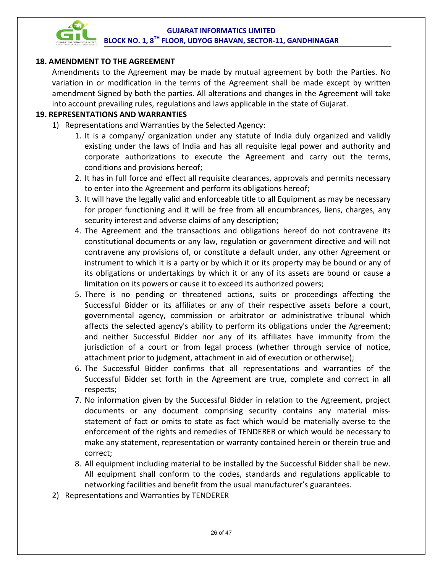

#### **18. AMENDMENT TO THE AGREEMENT**

Amendments to the Agreement may be made by mutual agreement by both the Parties. No variation in or modification in the terms of the Agreement shall be made except by written amendment Signed by both the parties. All alterations and changes in the Agreement will take into account prevailing rules, regulations and laws applicable in the state of Gujarat.

#### **19. REPRESENTATIONS AND WARRANTIES**

- 1) Representations and Warranties by the Selected Agency:
	- 1. It is a company/ organization under any statute of India duly organized and validly existing under the laws of India and has all requisite legal power and authority and corporate authorizations to execute the Agreement and carry out the terms, conditions and provisions hereof;
	- 2. It has in full force and effect all requisite clearances, approvals and permits necessary to enter into the Agreement and perform its obligations hereof;
	- 3. It will have the legally valid and enforceable title to all Equipment as may be necessary for proper functioning and it will be free from all encumbrances, liens, charges, any security interest and adverse claims of any description;
	- 4. The Agreement and the transactions and obligations hereof do not contravene its constitutional documents or any law, regulation or government directive and will not contravene any provisions of, or constitute a default under, any other Agreement or instrument to which it is a party or by which it or its property may be bound or any of its obligations or undertakings by which it or any of its assets are bound or cause a limitation on its powers or cause it to exceed its authorized powers;
	- 5. There is no pending or threatened actions, suits or proceedings affecting the Successful Bidder or its affiliates or any of their respective assets before a court, governmental agency, commission or arbitrator or administrative tribunal which affects the selected agency's ability to perform its obligations under the Agreement; and neither Successful Bidder nor any of its affiliates have immunity from the jurisdiction of a court or from legal process (whether through service of notice, attachment prior to judgment, attachment in aid of execution or otherwise);
	- 6. The Successful Bidder confirms that all representations and warranties of the Successful Bidder set forth in the Agreement are true, complete and correct in all respects;
	- 7. No information given by the Successful Bidder in relation to the Agreement, project documents or any document comprising security contains any material missstatement of fact or omits to state as fact which would be materially averse to the enforcement of the rights and remedies of TENDERER or which would be necessary to make any statement, representation or warranty contained herein or therein true and correct;
	- 8. All equipment including material to be installed by the Successful Bidder shall be new. All equipment shall conform to the codes, standards and regulations applicable to networking facilities and benefit from the usual manufacturer's guarantees.
- 2) Representations and Warranties by TENDERER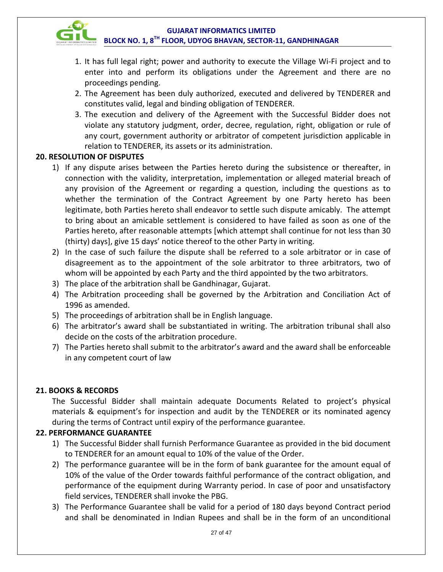

- 1. It has full legal right; power and authority to execute the Village Wi-Fi project and to enter into and perform its obligations under the Agreement and there are no proceedings pending.
- 2. The Agreement has been duly authorized, executed and delivered by TENDERER and constitutes valid, legal and binding obligation of TENDERER.
- 3. The execution and delivery of the Agreement with the Successful Bidder does not violate any statutory judgment, order, decree, regulation, right, obligation or rule of any court, government authority or arbitrator of competent jurisdiction applicable in relation to TENDERER, its assets or its administration.

#### **20. RESOLUTION OF DISPUTES**

- 1) If any dispute arises between the Parties hereto during the subsistence or thereafter, in connection with the validity, interpretation, implementation or alleged material breach of any provision of the Agreement or regarding a question, including the questions as to whether the termination of the Contract Agreement by one Party hereto has been legitimate, both Parties hereto shall endeavor to settle such dispute amicably. The attempt to bring about an amicable settlement is considered to have failed as soon as one of the Parties hereto, after reasonable attempts [which attempt shall continue for not less than 30 (thirty) days], give 15 days' notice thereof to the other Party in writing.
- 2) In the case of such failure the dispute shall be referred to a sole arbitrator or in case of disagreement as to the appointment of the sole arbitrator to three arbitrators, two of whom will be appointed by each Party and the third appointed by the two arbitrators.
- 3) The place of the arbitration shall be Gandhinagar, Gujarat.
- 4) The Arbitration proceeding shall be governed by the Arbitration and Conciliation Act of 1996 as amended.
- 5) The proceedings of arbitration shall be in English language.
- 6) The arbitrator's award shall be substantiated in writing. The arbitration tribunal shall also decide on the costs of the arbitration procedure.
- 7) The Parties hereto shall submit to the arbitrator's award and the award shall be enforceable in any competent court of law

#### **21. BOOKS & RECORDS**

The Successful Bidder shall maintain adequate Documents Related to project's physical materials & equipment's for inspection and audit by the TENDERER or its nominated agency during the terms of Contract until expiry of the performance guarantee.

#### **22. PERFORMANCE GUARANTEE**

- 1) The Successful Bidder shall furnish Performance Guarantee as provided in the bid document to TENDERER for an amount equal to 10% of the value of the Order.
- 2) The performance guarantee will be in the form of bank guarantee for the amount equal of 10% of the value of the Order towards faithful performance of the contract obligation, and performance of the equipment during Warranty period. In case of poor and unsatisfactory field services, TENDERER shall invoke the PBG.
- 3) The Performance Guarantee shall be valid for a period of 180 days beyond Contract period and shall be denominated in Indian Rupees and shall be in the form of an unconditional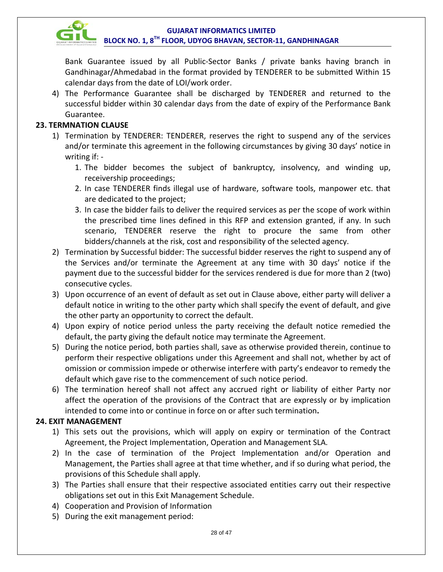

Bank Guarantee issued by all Public-Sector Banks / private banks having branch in Gandhinagar/Ahmedabad in the format provided by TENDERER to be submitted Within 15 calendar days from the date of LOI/work order.

4) The Performance Guarantee shall be discharged by TENDERER and returned to the successful bidder within 30 calendar days from the date of expiry of the Performance Bank Guarantee.

#### **23. TERMNATION CLAUSE**

- 1) Termination by TENDERER: TENDERER, reserves the right to suspend any of the services and/or terminate this agreement in the following circumstances by giving 30 days' notice in writing if: -
	- 1. The bidder becomes the subject of bankruptcy, insolvency, and winding up, receivership proceedings;
	- 2. In case TENDERER finds illegal use of hardware, software tools, manpower etc. that are dedicated to the project;
	- 3. In case the bidder fails to deliver the required services as per the scope of work within the prescribed time lines defined in this RFP and extension granted, if any. In such scenario, TENDERER reserve the right to procure the same from other bidders/channels at the risk, cost and responsibility of the selected agency.
- 2) Termination by Successful bidder: The successful bidder reserves the right to suspend any of the Services and/or terminate the Agreement at any time with 30 days' notice if the payment due to the successful bidder for the services rendered is due for more than 2 (two) consecutive cycles.
- 3) Upon occurrence of an event of default as set out in Clause above, either party will deliver a default notice in writing to the other party which shall specify the event of default, and give the other party an opportunity to correct the default.
- 4) Upon expiry of notice period unless the party receiving the default notice remedied the default, the party giving the default notice may terminate the Agreement.
- 5) During the notice period, both parties shall, save as otherwise provided therein, continue to perform their respective obligations under this Agreement and shall not, whether by act of omission or commission impede or otherwise interfere with party's endeavor to remedy the default which gave rise to the commencement of such notice period.
- 6) The termination hereof shall not affect any accrued right or liability of either Party nor affect the operation of the provisions of the Contract that are expressly or by implication intended to come into or continue in force on or after such termination**.**

#### **24. EXIT MANAGEMENT**

- 1) This sets out the provisions, which will apply on expiry or termination of the Contract Agreement, the Project Implementation, Operation and Management SLA.
- 2) In the case of termination of the Project Implementation and/or Operation and Management, the Parties shall agree at that time whether, and if so during what period, the provisions of this Schedule shall apply.
- 3) The Parties shall ensure that their respective associated entities carry out their respective obligations set out in this Exit Management Schedule.
- 4) Cooperation and Provision of Information
- 5) During the exit management period: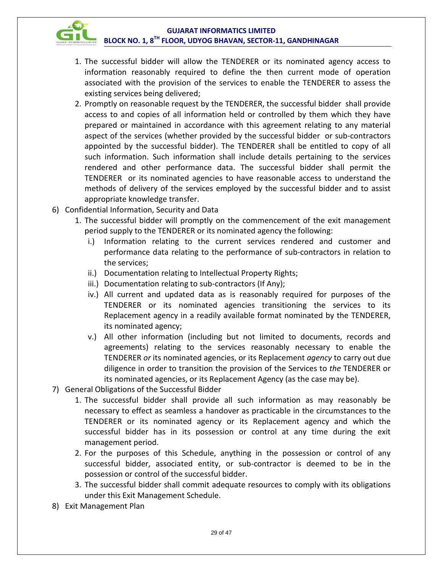

- 1. The successful bidder will allow the TENDERER or its nominated agency access to information reasonably required to define the then current mode of operation associated with the provision of the services to enable the TENDERER to assess the existing services being delivered;
- 2. Promptly on reasonable request by the TENDERER, the successful bidder shall provide access to and copies of all information held or controlled by them which they have prepared or maintained in accordance with this agreement relating to any material aspect of the services (whether provided by the successful bidder or sub-contractors appointed by the successful bidder). The TENDERER shall be entitled to copy of all such information. Such information shall include details pertaining to the services rendered and other performance data. The successful bidder shall permit the TENDERER or its nominated agencies to have reasonable access to understand the methods of delivery of the services employed by the successful bidder and to assist appropriate knowledge transfer.
- 6) Confidential Information, Security and Data
	- 1. The successful bidder will promptly on the commencement of the exit management period supply to the TENDERER or its nominated agency the following:
		- i.) Information relating to the current services rendered and customer and performance data relating to the performance of sub-contractors in relation to the services;
		- ii.) Documentation relating to Intellectual Property Rights;
		- iii.) Documentation relating to sub-contractors (If Any);
		- iv.) All current and updated data as is reasonably required for purposes of the TENDERER or its nominated agencies transitioning the services to its Replacement agency in a readily available format nominated by the TENDERER, its nominated agency;
		- v.) All other information (including but not limited to documents, records and agreements) relating to the services reasonably necessary to enable the TENDERER *or* its nominated agencies, or its Replacement *agency* to carry out due diligence in order to transition the provision of the Services to *the* TENDERER or its nominated agencies, or its Replacement Agency (as the case may be).
- 7) General Obligations of the Successful Bidder
	- 1. The successful bidder shall provide all such information as may reasonably be necessary to effect as seamless a handover as practicable in the circumstances to the TENDERER or its nominated agency or its Replacement agency and which the successful bidder has in its possession or control at any time during the exit management period.
	- 2. For the purposes of this Schedule, anything in the possession or control of any successful bidder, associated entity, or sub-contractor is deemed to be in the possession or control of the successful bidder.
	- 3. The successful bidder shall commit adequate resources to comply with its obligations under this Exit Management Schedule.
- 8) Exit Management Plan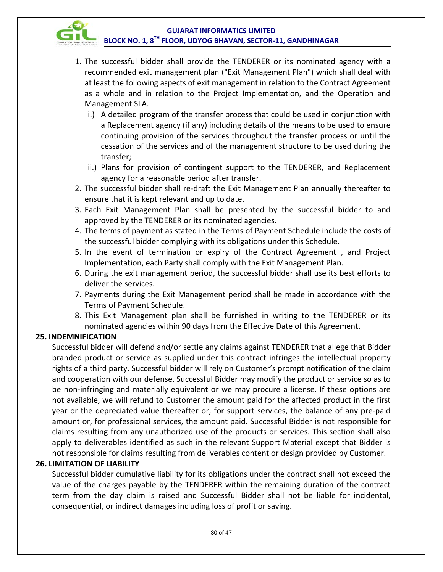

- 1. The successful bidder shall provide the TENDERER or its nominated agency with a recommended exit management plan ("Exit Management Plan") which shall deal with at least the following aspects of exit management in relation to the Contract Agreement as a whole and in relation to the Project Implementation, and the Operation and Management SLA.
	- i.) A detailed program of the transfer process that could be used in conjunction with a Replacement agency (if any) including details of the means to be used to ensure continuing provision of the services throughout the transfer process or until the cessation of the services and of the management structure to be used during the transfer;
	- ii.) Plans for provision of contingent support to the TENDERER, and Replacement agency for a reasonable period after transfer.
- 2. The successful bidder shall re-draft the Exit Management Plan annually thereafter to ensure that it is kept relevant and up to date.
- 3. Each Exit Management Plan shall be presented by the successful bidder to and approved by the TENDERER or its nominated agencies.
- 4. The terms of payment as stated in the Terms of Payment Schedule include the costs of the successful bidder complying with its obligations under this Schedule.
- 5. In the event of termination or expiry of the Contract Agreement , and Project Implementation, each Party shall comply with the Exit Management Plan.
- 6. During the exit management period, the successful bidder shall use its best efforts to deliver the services.
- 7. Payments during the Exit Management period shall be made in accordance with the Terms of Payment Schedule.
- 8. This Exit Management plan shall be furnished in writing to the TENDERER or its nominated agencies within 90 days from the Effective Date of this Agreement.

#### **25. INDEMNIFICATION**

Successful bidder will defend and/or settle any claims against TENDERER that allege that Bidder branded product or service as supplied under this contract infringes the intellectual property rights of a third party. Successful bidder will rely on Customer's prompt notification of the claim and cooperation with our defense. Successful Bidder may modify the product or service so as to be non-infringing and materially equivalent or we may procure a license. If these options are not available, we will refund to Customer the amount paid for the affected product in the first year or the depreciated value thereafter or, for support services, the balance of any pre‐paid amount or, for professional services, the amount paid. Successful Bidder is not responsible for claims resulting from any unauthorized use of the products or services. This section shall also apply to deliverables identified as such in the relevant Support Material except that Bidder is not responsible for claims resulting from deliverables content or design provided by Customer.

#### **26. LIMITATION OF LIABILITY**

Successful bidder cumulative liability for its obligations under the contract shall not exceed the value of the charges payable by the TENDERER within the remaining duration of the contract term from the day claim is raised and Successful Bidder shall not be liable for incidental, consequential, or indirect damages including loss of profit or saving.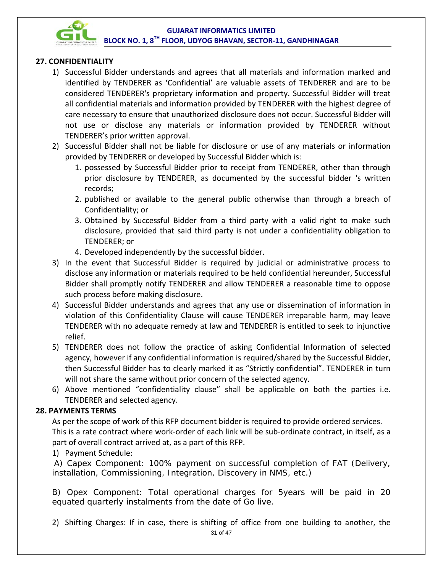

#### **27. CONFIDENTIALITY**

- 1) Successful Bidder understands and agrees that all materials and information marked and identified by TENDERER as 'Confidential' are valuable assets of TENDERER and are to be considered TENDERER's proprietary information and property. Successful Bidder will treat all confidential materials and information provided by TENDERER with the highest degree of care necessary to ensure that unauthorized disclosure does not occur. Successful Bidder will not use or disclose any materials or information provided by TENDERER without TENDERER's prior written approval.
- 2) Successful Bidder shall not be liable for disclosure or use of any materials or information provided by TENDERER or developed by Successful Bidder which is:
	- 1. possessed by Successful Bidder prior to receipt from TENDERER, other than through prior disclosure by TENDERER, as documented by the successful bidder 's written records;
	- 2. published or available to the general public otherwise than through a breach of Confidentiality; or
	- 3. Obtained by Successful Bidder from a third party with a valid right to make such disclosure, provided that said third party is not under a confidentiality obligation to TENDERER; or
	- 4. Developed independently by the successful bidder.
- 3) In the event that Successful Bidder is required by judicial or administrative process to disclose any information or materials required to be held confidential hereunder, Successful Bidder shall promptly notify TENDERER and allow TENDERER a reasonable time to oppose such process before making disclosure.
- 4) Successful Bidder understands and agrees that any use or dissemination of information in violation of this Confidentiality Clause will cause TENDERER irreparable harm, may leave TENDERER with no adequate remedy at law and TENDERER is entitled to seek to injunctive relief.
- 5) TENDERER does not follow the practice of asking Confidential Information of selected agency, however if any confidential information is required/shared by the Successful Bidder, then Successful Bidder has to clearly marked it as "Strictly confidential". TENDERER in turn will not share the same without prior concern of the selected agency.
- 6) Above mentioned "confidentiality clause" shall be applicable on both the parties i.e. TENDERER and selected agency.

#### **28. PAYMENTS TERMS**

As per the scope of work of this RFP document bidder is required to provide ordered services. This is a rate contract where work-order of each link will be sub-ordinate contract, in itself, as a part of overall contract arrived at, as a part of this RFP.

1) Payment Schedule:

A) Capex Component: 100% payment on successful completion of FAT (Delivery, installation, Commissioning, Integration, Discovery in NMS, etc.)

B) Opex Component: Total operational charges for 5years will be paid in 20 equated quarterly instalments from the date of Go live.

31 of 47 2) Shifting Charges: If in case, there is shifting of office from one building to another, the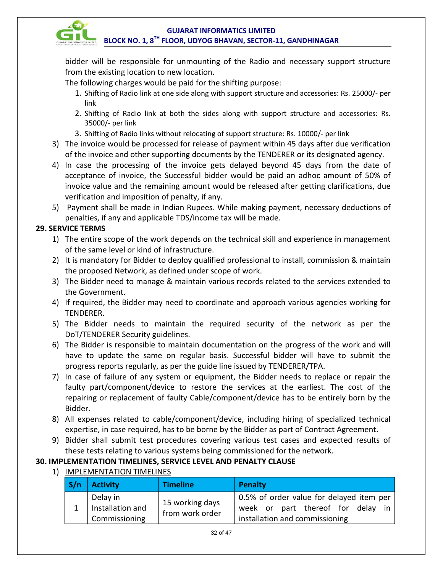

bidder will be responsible for unmounting of the Radio and necessary support structure from the existing location to new location.

The following charges would be paid for the shifting purpose:

- 1. Shifting of Radio link at one side along with support structure and accessories: Rs. 25000/- per link
- 2. Shifting of Radio link at both the sides along with support structure and accessories: Rs. 35000/- per link
- 3. Shifting of Radio links without relocating of support structure: Rs. 10000/- per link
- 3) The invoice would be processed for release of payment within 45 days after due verification of the invoice and other supporting documents by the TENDERER or its designated agency.
- 4) In case the processing of the invoice gets delayed beyond 45 days from the date of acceptance of invoice, the Successful bidder would be paid an adhoc amount of 50% of invoice value and the remaining amount would be released after getting clarifications, due verification and imposition of penalty, if any.
- 5) Payment shall be made in Indian Rupees. While making payment, necessary deductions of penalties, if any and applicable TDS/income tax will be made.

#### **29. SERVICE TERMS**

- 1) The entire scope of the work depends on the technical skill and experience in management of the same level or kind of infrastructure.
- 2) It is mandatory for Bidder to deploy qualified professional to install, commission & maintain the proposed Network, as defined under scope of work.
- 3) The Bidder need to manage & maintain various records related to the services extended to the Government.
- 4) If required, the Bidder may need to coordinate and approach various agencies working for TENDERER.
- 5) The Bidder needs to maintain the required security of the network as per the DoT/TENDERER Security guidelines.
- 6) The Bidder is responsible to maintain documentation on the progress of the work and will have to update the same on regular basis. Successful bidder will have to submit the progress reports regularly, as per the guide line issued by TENDERER/TPA.
- 7) In case of failure of any system or equipment, the Bidder needs to replace or repair the faulty part/component/device to restore the services at the earliest. The cost of the repairing or replacement of faulty Cable/component/device has to be entirely born by the Bidder.
- 8) All expenses related to cable/component/device, including hiring of specialized technical expertise, in case required, has to be borne by the Bidder as part of Contract Agreement.
- 9) Bidder shall submit test procedures covering various test cases and expected results of these tests relating to various systems being commissioned for the network.

#### **30. IMPLEMENTATION TIMELINES, SERVICE LEVEL AND PENALTY CLAUSE**

1) **IMPLEMENTATION TIMELINES** 

| S/n | <b>Activity</b>                                     | <b>Timeline</b>                    | Penalty                                                                                                         |
|-----|-----------------------------------------------------|------------------------------------|-----------------------------------------------------------------------------------------------------------------|
|     | Delay in<br>$1$   Installation and<br>Commissioning | 15 working days<br>from work order | 0.5% of order value for delayed item per<br>week or part thereof for delay in<br>installation and commissioning |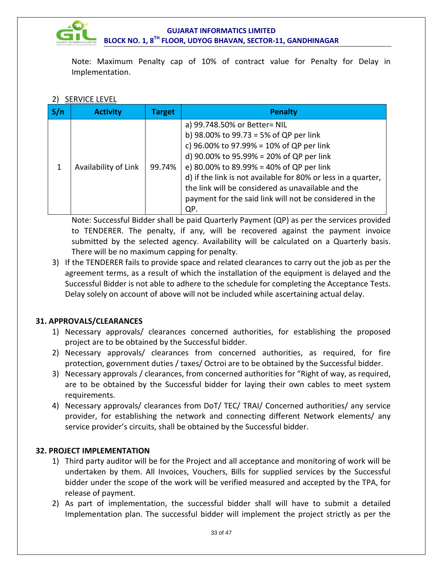

Note: Maximum Penalty cap of 10% of contract value for Penalty for Delay in Implementation.

#### 2) SERVICE LEVEL

| <b>Activity</b>      | <b>Target</b> | <b>Penalty</b>                                                                                                                                                                                                                                                                                                                                                                                      |
|----------------------|---------------|-----------------------------------------------------------------------------------------------------------------------------------------------------------------------------------------------------------------------------------------------------------------------------------------------------------------------------------------------------------------------------------------------------|
| Availability of Link | 99.74%        | a) 99.748.50% or Better= NIL<br>b) 98.00% to 99.73 = 5% of QP per link<br>c) 96.00% to 97.99% = 10% of QP per link<br>d) 90.00% to 95.99% = 20% of QP per link<br>e) 80.00% to 89.99% = 40% of QP per link<br>d) if the link is not available for 80% or less in a quarter,<br>the link will be considered as unavailable and the<br>payment for the said link will not be considered in the<br>QP. |

Note: Successful Bidder shall be paid Quarterly Payment (QP) as per the services provided to TENDERER. The penalty, if any, will be recovered against the payment invoice submitted by the selected agency. Availability will be calculated on a Quarterly basis. There will be no maximum capping for penalty.

3) If the TENDERER fails to provide space and related clearances to carry out the job as per the agreement terms, as a result of which the installation of the equipment is delayed and the Successful Bidder is not able to adhere to the schedule for completing the Acceptance Tests. Delay solely on account of above will not be included while ascertaining actual delay.

#### **31. APPROVALS/CLEARANCES**

- 1) Necessary approvals/ clearances concerned authorities, for establishing the proposed project are to be obtained by the Successful bidder.
- 2) Necessary approvals/ clearances from concerned authorities, as required, for fire protection, government duties / taxes/ Octroi are to be obtained by the Successful bidder.
- 3) Necessary approvals / clearances, from concerned authorities for "Right of way, as required, are to be obtained by the Successful bidder for laying their own cables to meet system requirements.
- 4) Necessary approvals/ clearances from DoT/ TEC/ TRAI/ Concerned authorities/ any service provider, for establishing the network and connecting different Network elements/ any service provider's circuits, shall be obtained by the Successful bidder.

#### **32. PROJECT IMPLEMENTATION**

- 1) Third party auditor will be for the Project and all acceptance and monitoring of work will be undertaken by them. All Invoices, Vouchers, Bills for supplied services by the Successful bidder under the scope of the work will be verified measured and accepted by the TPA, for release of payment.
- 2) As part of implementation, the successful bidder shall will have to submit a detailed Implementation plan. The successful bidder will implement the project strictly as per the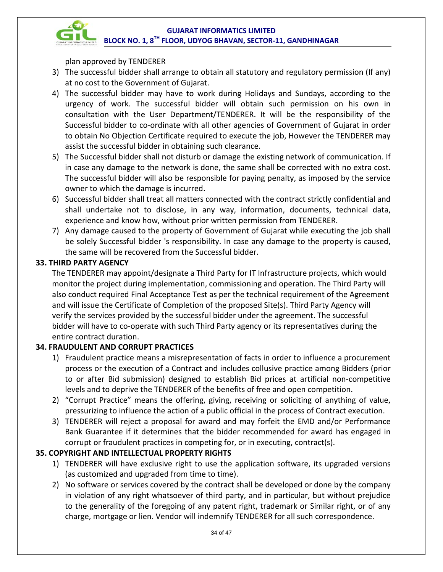plan approved by TENDERER

- 3) The successful bidder shall arrange to obtain all statutory and regulatory permission (If any) at no cost to the Government of Gujarat.
- 4) The successful bidder may have to work during Holidays and Sundays, according to the urgency of work. The successful bidder will obtain such permission on his own in consultation with the User Department/TENDERER. It will be the responsibility of the Successful bidder to co-ordinate with all other agencies of Government of Gujarat in order to obtain No Objection Certificate required to execute the job, However the TENDERER may assist the successful bidder in obtaining such clearance.
- 5) The Successful bidder shall not disturb or damage the existing network of communication. If in case any damage to the network is done, the same shall be corrected with no extra cost. The successful bidder will also be responsible for paying penalty, as imposed by the service owner to which the damage is incurred.
- 6) Successful bidder shall treat all matters connected with the contract strictly confidential and shall undertake not to disclose, in any way, information, documents, technical data, experience and know how, without prior written permission from TENDERER.
- 7) Any damage caused to the property of Government of Gujarat while executing the job shall be solely Successful bidder 's responsibility. In case any damage to the property is caused, the same will be recovered from the Successful bidder.

#### **33. THIRD PARTY AGENCY**

The TENDERER may appoint/designate a Third Party for IT Infrastructure projects, which would monitor the project during implementation, commissioning and operation. The Third Party will also conduct required Final Acceptance Test as per the technical requirement of the Agreement and will issue the Certificate of Completion of the proposed Site(s). Third Party Agency will verify the services provided by the successful bidder under the agreement. The successful bidder will have to co-operate with such Third Party agency or its representatives during the entire contract duration.

#### **34. FRAUDULENT AND CORRUPT PRACTICES**

- 1) Fraudulent practice means a misrepresentation of facts in order to influence a procurement process or the execution of a Contract and includes collusive practice among Bidders (prior to or after Bid submission) designed to establish Bid prices at artificial non-competitive levels and to deprive the TENDERER of the benefits of free and open competition.
- 2) "Corrupt Practice" means the offering, giving, receiving or soliciting of anything of value, pressurizing to influence the action of a public official in the process of Contract execution.
- 3) TENDERER will reject a proposal for award and may forfeit the EMD and/or Performance Bank Guarantee if it determines that the bidder recommended for award has engaged in corrupt or fraudulent practices in competing for, or in executing, contract(s).

#### **35. COPYRIGHT AND INTELLECTUAL PROPERTY RIGHTS**

- 1) TENDERER will have exclusive right to use the application software, its upgraded versions (as customized and upgraded from time to time).
- 2) No software or services covered by the contract shall be developed or done by the company in violation of any right whatsoever of third party, and in particular, but without prejudice to the generality of the foregoing of any patent right, trademark or Similar right, or of any charge, mortgage or lien. Vendor will indemnify TENDERER for all such correspondence.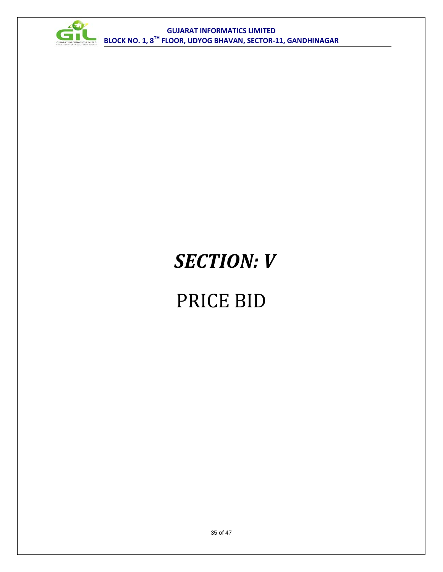

## *SECTION: V*

### PRICE BID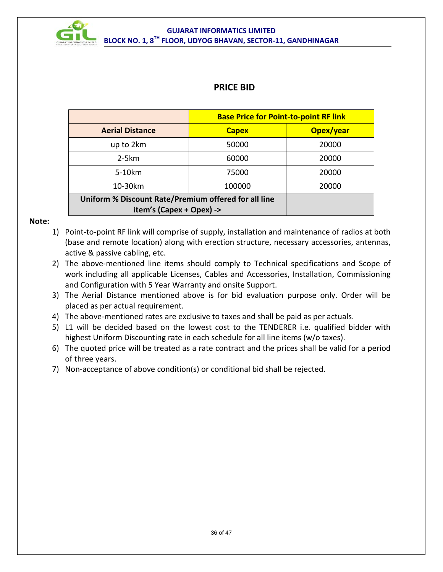

### **PRICE BID**

|                                                                                  | <b>Base Price for Point-to-point RF link</b> |           |  |
|----------------------------------------------------------------------------------|----------------------------------------------|-----------|--|
| <b>Aerial Distance</b>                                                           | <b>Capex</b>                                 | Opex/year |  |
| up to 2km                                                                        | 50000                                        | 20000     |  |
| $2-5km$                                                                          | 60000                                        | 20000     |  |
| 5-10km                                                                           | 75000                                        | 20000     |  |
| 10-30km                                                                          | 20000                                        |           |  |
| Uniform % Discount Rate/Premium offered for all line<br>item's (Capex + Opex) -> |                                              |           |  |

#### **Note:**

- 1) Point-to-point RF link will comprise of supply, installation and maintenance of radios at both (base and remote location) along with erection structure, necessary accessories, antennas, active & passive cabling, etc.
- 2) The above-mentioned line items should comply to Technical specifications and Scope of work including all applicable Licenses, Cables and Accessories, Installation, Commissioning and Configuration with 5 Year Warranty and onsite Support.
- 3) The Aerial Distance mentioned above is for bid evaluation purpose only. Order will be placed as per actual requirement.
- 4) The above-mentioned rates are exclusive to taxes and shall be paid as per actuals.
- 5) L1 will be decided based on the lowest cost to the TENDERER i.e. qualified bidder with highest Uniform Discounting rate in each schedule for all line items (w/o taxes).
- 6) The quoted price will be treated as a rate contract and the prices shall be valid for a period of three years.
- 7) Non-acceptance of above condition(s) or conditional bid shall be rejected.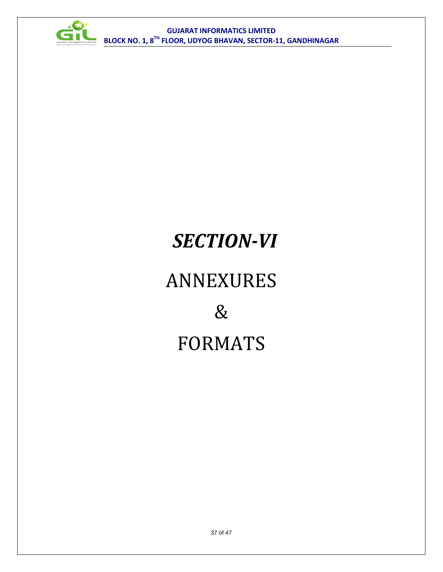

## *SECTION-VI*

# ANNEXURES & FORMATS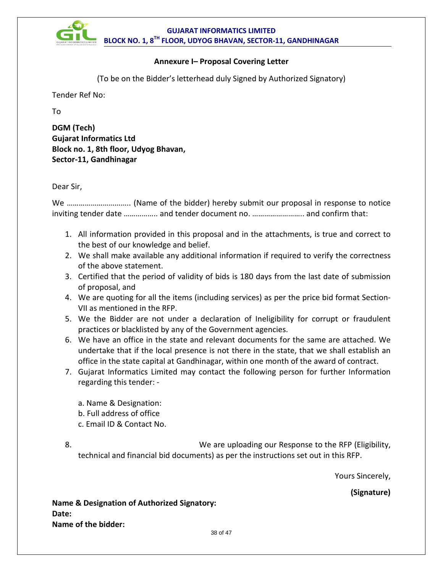

#### **Annexure I– Proposal Covering Letter**

(To be on the Bidder's letterhead duly Signed by Authorized Signatory)

Tender Ref No:

To

**DGM (Tech) Gujarat Informatics Ltd Block no. 1, 8th floor, Udyog Bhavan, Sector-11, Gandhinagar**

Dear Sir,

We ………………………….. (Name of the bidder) hereby submit our proposal in response to notice inviting tender date …………….. and tender document no. …………………….. and confirm that:

- 1. All information provided in this proposal and in the attachments, is true and correct to the best of our knowledge and belief.
- 2. We shall make available any additional information if required to verify the correctness of the above statement.
- 3. Certified that the period of validity of bids is 180 days from the last date of submission of proposal, and
- 4. We are quoting for all the items (including services) as per the price bid format Section-VII as mentioned in the RFP.
- 5. We the Bidder are not under a declaration of Ineligibility for corrupt or fraudulent practices or blacklisted by any of the Government agencies.
- 6. We have an office in the state and relevant documents for the same are attached. We undertake that if the local presence is not there in the state, that we shall establish an office in the state capital at Gandhinagar, within one month of the award of contract.
- 7. Gujarat Informatics Limited may contact the following person for further Information regarding this tender: -

a. Name & Designation: b. Full address of office

c. Email ID & Contact No.

8. We are uploading our Response to the RFP (Eligibility, technical and financial bid documents) as per the instructions set out in this RFP.

Yours Sincerely,

**(Signature)**

**Name & Designation of Authorized Signatory: Date: Name of the bidder:**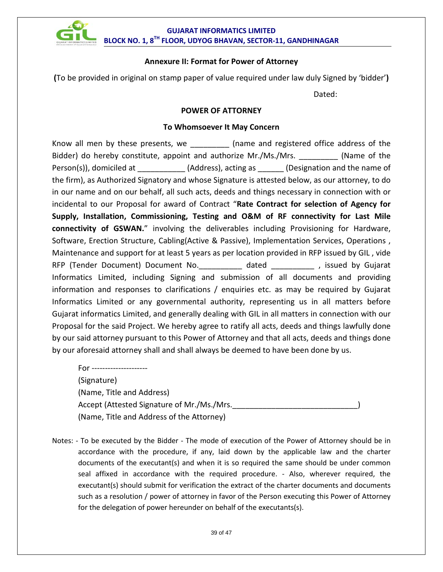

#### **Annexure II: Format for Power of Attorney**

**(**To be provided in original on stamp paper of value required under law duly Signed by 'bidder'**)**

Dated:

#### **POWER OF ATTORNEY**

#### **To Whomsoever It May Concern**

Know all men by these presents, we **Example 2** (name and registered office address of the Bidder) do hereby constitute, appoint and authorize Mr./Ms./Mrs. \_\_\_\_\_\_\_\_\_ (Name of the Person(s)), domiciled at  $(Address)$ , acting as  $(Designation and the name of$ the firm), as Authorized Signatory and whose Signature is attested below, as our attorney, to do in our name and on our behalf, all such acts, deeds and things necessary in connection with or incidental to our Proposal for award of Contract "**Rate Contract for selection of Agency for Supply, Installation, Commissioning, Testing and O&M of RF connectivity for Last Mile connectivity of GSWAN.**" involving the deliverables including Provisioning for Hardware, Software, Erection Structure, Cabling(Active & Passive), Implementation Services, Operations , Maintenance and support for at least 5 years as per location provided in RFP issued by GIL , vide RFP (Tender Document) Document No. \_\_\_\_\_\_\_\_\_ dated \_\_\_\_\_\_\_\_\_\_\_ , issued by Gujarat Informatics Limited, including Signing and submission of all documents and providing information and responses to clarifications / enquiries etc. as may be required by Gujarat Informatics Limited or any governmental authority, representing us in all matters before Gujarat informatics Limited, and generally dealing with GIL in all matters in connection with our Proposal for the said Project. We hereby agree to ratify all acts, deeds and things lawfully done by our said attorney pursuant to this Power of Attorney and that all acts, deeds and things done by our aforesaid attorney shall and shall always be deemed to have been done by us.

For ---------------------(Signature) (Name, Title and Address) Accept (Attested Signature of Mr./Ms./Mrs. (Name, Title and Address of the Attorney)

Notes: - To be executed by the Bidder - The mode of execution of the Power of Attorney should be in accordance with the procedure, if any, laid down by the applicable law and the charter documents of the executant(s) and when it is so required the same should be under common seal affixed in accordance with the required procedure. - Also, wherever required, the executant(s) should submit for verification the extract of the charter documents and documents such as a resolution / power of attorney in favor of the Person executing this Power of Attorney for the delegation of power hereunder on behalf of the executants(s).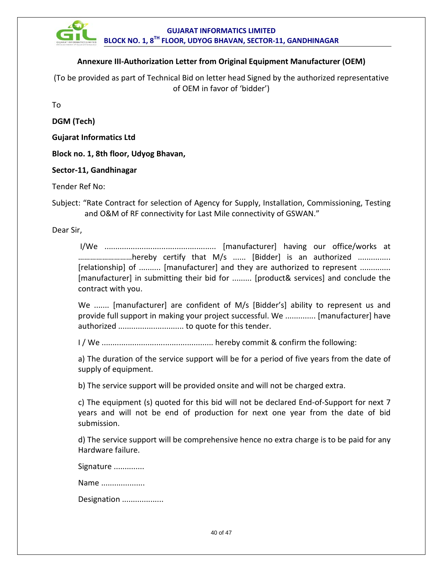

#### **Annexure III-Authorization Letter from Original Equipment Manufacturer (OEM)**

(To be provided as part of Technical Bid on letter head Signed by the authorized representative of OEM in favor of 'bidder')

To

**DGM (Tech)** 

**Gujarat Informatics Ltd**

**Block no. 1, 8th floor, Udyog Bhavan,**

#### **Sector-11, Gandhinagar**

Tender Ref No:

Subject: "Rate Contract for selection of Agency for Supply, Installation, Commissioning, Testing and O&M of RF connectivity for Last Mile connectivity of GSWAN."

Dear Sir,

I/We ................................................... [manufacturer] having our office/works at ………………………hereby certify that M/s ...... [Bidder] is an authorized ............... [relationship] of .......... [manufacturer] and they are authorized to represent .............. [manufacturer] in submitting their bid for ......... [product& services] and conclude the contract with you.

We ....... [manufacturer] are confident of M/s [Bidder's] ability to represent us and provide full support in making your project successful. We .............. [manufacturer] have authorized .............................. to quote for this tender.

I / We ................................................... hereby commit & confirm the following:

a) The duration of the service support will be for a period of five years from the date of supply of equipment.

b) The service support will be provided onsite and will not be charged extra.

c) The equipment (s) quoted for this bid will not be declared End-of-Support for next 7 years and will not be end of production for next one year from the date of bid submission.

d) The service support will be comprehensive hence no extra charge is to be paid for any Hardware failure.

Signature ..............

Name .....................

Designation ....................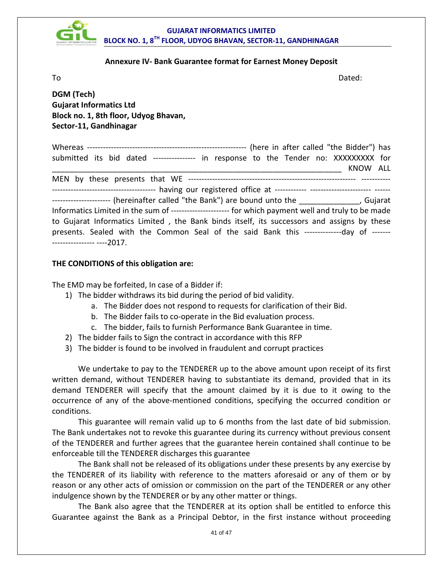

#### **Annexure IV- Bank Guarantee format for Earnest Money Deposit**

To and the Dated: the Dated: the Dated: the Dated: the Dated: the Dated: the Dated: the Dated: the Dated: the Dated: the Dated: the Dated: the Dated: the Dated: the Dated: the Dated: the Dated: the Dated: the Dated: the Da

**DGM (Tech) Gujarat Informatics Ltd Block no. 1, 8th floor, Udyog Bhavan, Sector-11, Gandhinagar**

Whereas ‐‐‐‐‐‐‐‐‐‐‐‐‐‐‐‐‐‐‐‐‐‐‐‐‐‐‐‐‐‐‐‐‐‐‐‐‐‐‐‐‐‐‐‐‐‐‐‐‐‐‐‐‐‐‐‐‐‐‐‐ (here in after called "the Bidder") has submitted its bid dated ---------------- in response to the Tender no: XXXXXXXXX for  $KNOW$   $\,$  ALL MEN by these presents that WE ‐‐‐‐‐‐‐‐‐‐‐‐‐‐‐‐‐‐‐‐‐‐‐‐‐‐‐‐‐‐‐‐‐‐‐‐‐‐‐‐‐‐‐‐‐‐‐‐‐‐‐‐‐‐‐‐‐‐‐‐‐‐‐ ‐‐‐‐‐‐‐‐‐‐‐ ‐‐‐‐‐‐‐‐‐‐‐‐‐‐‐‐‐‐‐‐‐‐‐‐‐‐‐‐‐‐‐‐‐‐‐‐‐‐‐ having our registered office at ‐‐‐‐‐‐‐‐‐‐‐‐ ‐‐‐‐‐‐‐‐‐‐‐‐‐‐‐‐‐‐‐‐‐‐‐ ‐‐‐‐‐‐ ---------------------- (hereinafter called "the Bank") are bound unto the \_\_\_\_\_\_\_\_\_\_\_\_\_\_\_, Gujarat Informatics Limited in the sum of ----------------------- for which payment well and truly to be made to Gujarat Informatics Limited , the Bank binds itself, its successors and assigns by these presents. Sealed with the Common Seal of the said Bank this ---------------day of -------‐‐‐‐‐‐‐‐‐‐‐‐‐‐‐‐ ‐‐‐‐2017.

#### **THE CONDITIONS of this obligation are:**

The EMD may be forfeited, In case of a Bidder if:

- 1) The bidder withdraws its bid during the period of bid validity.
	- a. The Bidder does not respond to requests for clarification of their Bid.
	- b. The Bidder fails to co-operate in the Bid evaluation process.
	- c. The bidder, fails to furnish Performance Bank Guarantee in time.
- 2) The bidder fails to Sign the contract in accordance with this RFP
- 3) The bidder is found to be involved in fraudulent and corrupt practices

We undertake to pay to the TENDERER up to the above amount upon receipt of its first written demand, without TENDERER having to substantiate its demand, provided that in its demand TENDERER will specify that the amount claimed by it is due to it owing to the occurrence of any of the above-mentioned conditions, specifying the occurred condition or conditions.

This guarantee will remain valid up to 6 months from the last date of bid submission. The Bank undertakes not to revoke this guarantee during its currency without previous consent of the TENDERER and further agrees that the guarantee herein contained shall continue to be enforceable till the TENDERER discharges this guarantee

The Bank shall not be released of its obligations under these presents by any exercise by the TENDERER of its liability with reference to the matters aforesaid or any of them or by reason or any other acts of omission or commission on the part of the TENDERER or any other indulgence shown by the TENDERER or by any other matter or things.

The Bank also agree that the TENDERER at its option shall be entitled to enforce this Guarantee against the Bank as a Principal Debtor, in the first instance without proceeding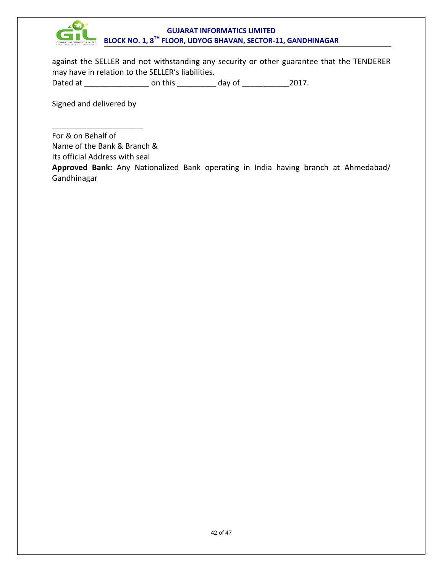

against the SELLER and not withstanding any security or other guarantee that the TENDERER may have in relation to the SELLER's liabilities.

Dated at \_\_\_\_\_\_\_\_\_\_\_\_\_\_\_\_\_\_\_\_\_\_\_\_ on this \_\_\_\_\_\_\_\_\_\_\_\_\_\_ day of \_\_\_\_\_\_\_\_\_\_\_\_\_\_\_2017.

Signed and delivered by

\_\_\_\_\_\_\_\_\_\_\_\_\_\_\_\_\_\_\_\_\_ For & on Behalf of Name of the Bank & Branch & Its official Address with seal **Approved Bank:** Any Nationalized Bank operating in India having branch at Ahmedabad/

Gandhinagar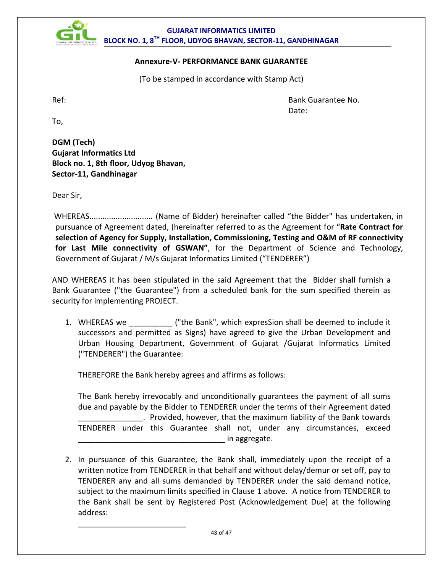

#### **Annexure-V- PERFORMANCE BANK GUARANTEE**

(To be stamped in accordance with Stamp Act)

Ref: Bank Guarantee No. de de la contrata de la contrata de la contrata de la contrata de la contrata de la contrata de la contrata de

To,

**DGM (Tech) Gujarat Informatics Ltd Block no. 1, 8th floor, Udyog Bhavan, Sector-11, Gandhinagar**

Dear Sir,

WHEREAS............................. (Name of Bidder) hereinafter called "the Bidder" has undertaken, in pursuance of Agreement dated, (hereinafter referred to as the Agreement for "**Rate Contract for selection of Agency for Supply, Installation, Commissioning, Testing and O&M of RF connectivity for Last Mile connectivity of GSWAN"**, for the Department of Science and Technology, Government of Gujarat / M/s Gujarat Informatics Limited ("TENDERER")

AND WHEREAS it has been stipulated in the said Agreement that the Bidder shall furnish a Bank Guarantee ("the Guarantee") from a scheduled bank for the sum specified therein as security for implementing PROJECT.

1. WHEREAS we \_\_\_\_\_\_\_\_\_\_ ("the Bank", which expresSion shall be deemed to include it successors and permitted as Signs) have agreed to give the Urban Development and Urban Housing Department, Government of Gujarat /Gujarat Informatics Limited ("TENDERER") the Guarantee:

THEREFORE the Bank hereby agrees and affirms as follows:

\_\_\_\_\_\_\_\_\_\_\_\_\_\_\_\_\_\_\_\_\_\_\_\_\_

The Bank hereby irrevocably and unconditionally guarantees the payment of all sums due and payable by the Bidder to TENDERER under the terms of their Agreement dated \_\_\_\_\_\_\_\_\_\_\_\_\_\_\_. Provided, however, that the maximum liability of the Bank towards TENDERER under this Guarantee shall not, under any circumstances, exceed  $\_$  in aggregate.

2. In pursuance of this Guarantee, the Bank shall, immediately upon the receipt of a written notice from TENDERER in that behalf and without delay/demur or set off, pay to TENDERER any and all sums demanded by TENDERER under the said demand notice, subject to the maximum limits specified in Clause 1 above. A notice from TENDERER to the Bank shall be sent by Registered Post (Acknowledgement Due) at the following address: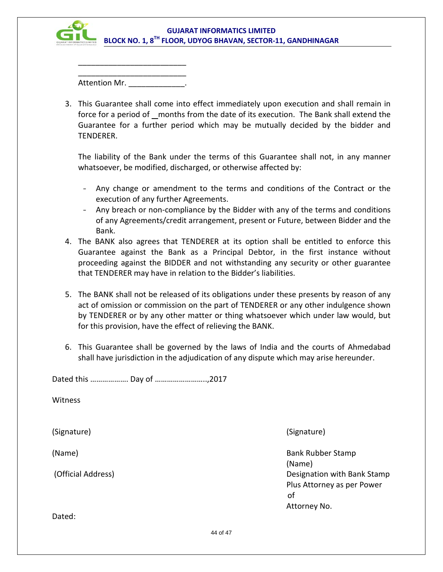

\_\_\_\_\_\_\_\_\_\_\_\_\_\_\_\_\_\_\_\_\_\_\_\_\_ Attention Mr.

\_\_\_\_\_\_\_\_\_\_\_\_\_\_\_\_\_\_\_\_\_\_\_\_\_

3. This Guarantee shall come into effect immediately upon execution and shall remain in force for a period of months from the date of its execution. The Bank shall extend the Guarantee for a further period which may be mutually decided by the bidder and TENDERER.

The liability of the Bank under the terms of this Guarantee shall not, in any manner whatsoever, be modified, discharged, or otherwise affected by:

- Any change or amendment to the terms and conditions of the Contract or the execution of any further Agreements.
- Any breach or non-compliance by the Bidder with any of the terms and conditions of any Agreements/credit arrangement, present or Future, between Bidder and the Bank.
- 4. The BANK also agrees that TENDERER at its option shall be entitled to enforce this Guarantee against the Bank as a Principal Debtor, in the first instance without proceeding against the BIDDER and not withstanding any security or other guarantee that TENDERER may have in relation to the Bidder's liabilities.
- 5. The BANK shall not be released of its obligations under these presents by reason of any act of omission or commission on the part of TENDERER or any other indulgence shown by TENDERER or by any other matter or thing whatsoever which under law would, but for this provision, have the effect of relieving the BANK.
- 6. This Guarantee shall be governed by the laws of India and the courts of Ahmedabad shall have jurisdiction in the adjudication of any dispute which may arise hereunder.

Dated this ………………. Day of ……………………..,2017 Witness (Signature) (Signature) (Name) Bank Rubber Stamp (Name) (Official Address) **Designation with Bank Stamp** Plus Attorney as per Power of Attorney No. Dated: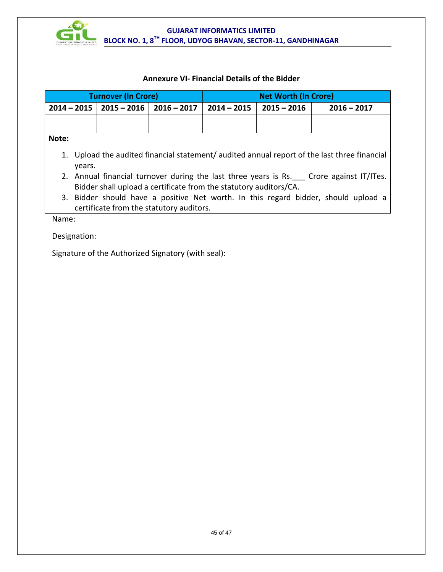

#### **Annexure VI- Financial Details of the Bidder**

| <b>Turnover (In Crore)</b> |                                                                                                                                                             |                             | <b>Net Worth (In Crore)</b> |               |               |               |
|----------------------------|-------------------------------------------------------------------------------------------------------------------------------------------------------------|-----------------------------|-----------------------------|---------------|---------------|---------------|
| $2014 - 2015$              |                                                                                                                                                             | $2015 - 2016$   2016 - 2017 |                             | $2014 - 2015$ | $2015 - 2016$ | $2016 - 2017$ |
|                            |                                                                                                                                                             |                             |                             |               |               |               |
| Note:                      |                                                                                                                                                             |                             |                             |               |               |               |
|                            | 1. Upload the audited financial statement/ audited annual report of the last three financial<br>vears.                                                      |                             |                             |               |               |               |
|                            | 2. Annual financial turnover during the last three years is Rs. Crore against IT/ITes.<br>Bidder shall upload a certificate from the statutory auditors/CA. |                             |                             |               |               |               |
|                            | 3. Bidder should have a positive Net worth. In this regard bidder, should upload a<br>certificate from the statutory auditors.                              |                             |                             |               |               |               |

Name:

Designation:

Signature of the Authorized Signatory (with seal):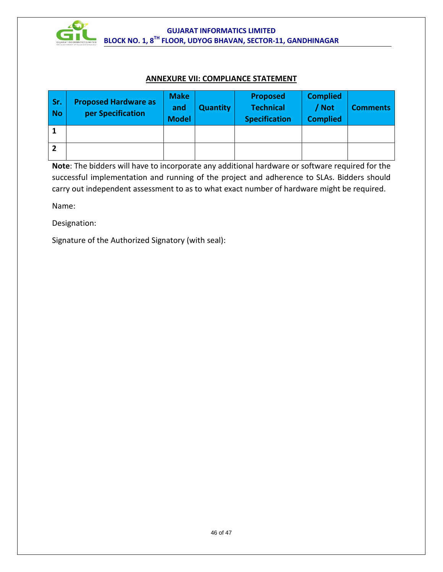

#### **ANNEXURE VII: COMPLIANCE STATEMENT**

| Sr.<br><b>No</b> | <b>Proposed Hardware as</b><br>per Specification | <b>Make</b><br>and<br><b>Model</b> | <b>Quantity</b> | <b>Proposed</b><br><b>Technical</b><br><b>Specification</b> | <b>Complied</b><br>/ Not<br><b>Complied</b> | <b>Comments</b> |
|------------------|--------------------------------------------------|------------------------------------|-----------------|-------------------------------------------------------------|---------------------------------------------|-----------------|
|                  |                                                  |                                    |                 |                                                             |                                             |                 |
|                  |                                                  |                                    |                 |                                                             |                                             |                 |

**Note**: The bidders will have to incorporate any additional hardware or software required for the successful implementation and running of the project and adherence to SLAs. Bidders should carry out independent assessment to as to what exact number of hardware might be required.

Name:

Designation:

Signature of the Authorized Signatory (with seal):